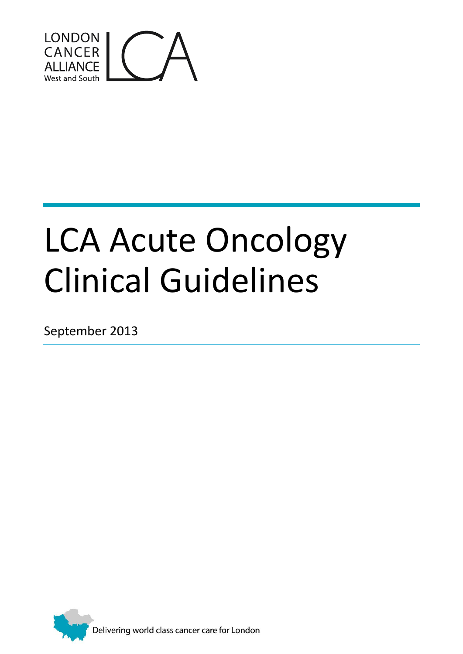

# LCA Acute Oncology Clinical Guidelines

September 2013

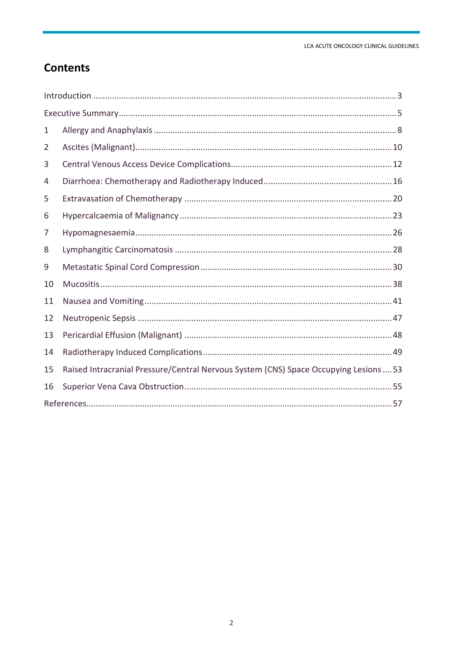# **Contents**

| 1  |                                                                                       |  |  |
|----|---------------------------------------------------------------------------------------|--|--|
| 2  |                                                                                       |  |  |
| 3  |                                                                                       |  |  |
| 4  |                                                                                       |  |  |
| 5  |                                                                                       |  |  |
| 6  |                                                                                       |  |  |
| 7  |                                                                                       |  |  |
| 8  |                                                                                       |  |  |
| 9  |                                                                                       |  |  |
| 10 |                                                                                       |  |  |
| 11 |                                                                                       |  |  |
| 12 |                                                                                       |  |  |
| 13 |                                                                                       |  |  |
| 14 |                                                                                       |  |  |
| 15 | Raised Intracranial Pressure/Central Nervous System (CNS) Space Occupying Lesions  53 |  |  |
| 16 |                                                                                       |  |  |
|    |                                                                                       |  |  |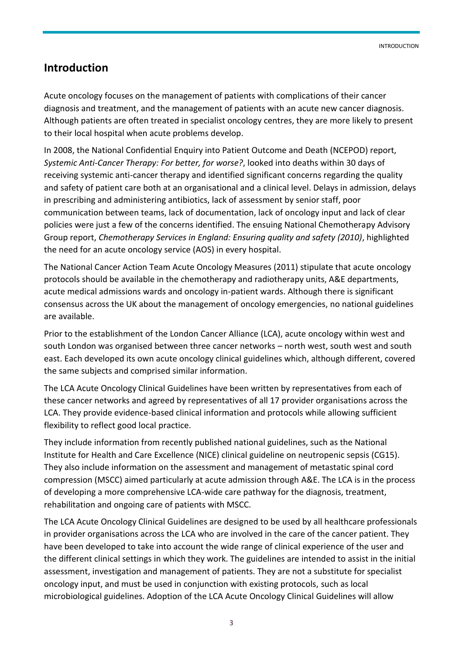## <span id="page-2-0"></span>**Introduction**

Acute oncology focuses on the management of patients with complications of their cancer diagnosis and treatment, and the management of patients with an acute new cancer diagnosis. Although patients are often treated in specialist oncology centres, they are more likely to present to their local hospital when acute problems develop.

In 2008, the National Confidential Enquiry into Patient Outcome and Death (NCEPOD) report, *Systemic Anti-Cancer Therapy: For better, for worse?*, looked into deaths within 30 days of receiving systemic anti-cancer therapy and identified significant concerns regarding the quality and safety of patient care both at an organisational and a clinical level. Delays in admission, delays in prescribing and administering antibiotics, lack of assessment by senior staff, poor communication between teams, lack of documentation, lack of oncology input and lack of clear policies were just a few of the concerns identified. The ensuing National Chemotherapy Advisory Group report, *Chemotherapy Services in England: Ensuring quality and safety (2010)*, highlighted the need for an acute oncology service (AOS) in every hospital.

The National Cancer Action Team Acute Oncology Measures (2011) stipulate that acute oncology protocols should be available in the chemotherapy and radiotherapy units, A&E departments, acute medical admissions wards and oncology in-patient wards. Although there is significant consensus across the UK about the management of oncology emergencies, no national guidelines are available.

Prior to the establishment of the London Cancer Alliance (LCA), acute oncology within west and south London was organised between three cancer networks – north west, south west and south east. Each developed its own acute oncology clinical guidelines which, although different, covered the same subjects and comprised similar information.

The LCA Acute Oncology Clinical Guidelines have been written by representatives from each of these cancer networks and agreed by representatives of all 17 provider organisations across the LCA. They provide evidence-based clinical information and protocols while allowing sufficient flexibility to reflect good local practice.

They include information from recently published national guidelines, such as the National Institute for Health and Care Excellence (NICE) clinical guideline on neutropenic sepsis (CG15). They also include information on the assessment and management of metastatic spinal cord compression (MSCC) aimed particularly at acute admission through A&E. The LCA is in the process of developing a more comprehensive LCA-wide care pathway for the diagnosis, treatment, rehabilitation and ongoing care of patients with MSCC.

The LCA Acute Oncology Clinical Guidelines are designed to be used by all healthcare professionals in provider organisations across the LCA who are involved in the care of the cancer patient. They have been developed to take into account the wide range of clinical experience of the user and the different clinical settings in which they work. The guidelines are intended to assist in the initial assessment, investigation and management of patients. They are not a substitute for specialist oncology input, and must be used in conjunction with existing protocols, such as local microbiological guidelines. Adoption of the LCA Acute Oncology Clinical Guidelines will allow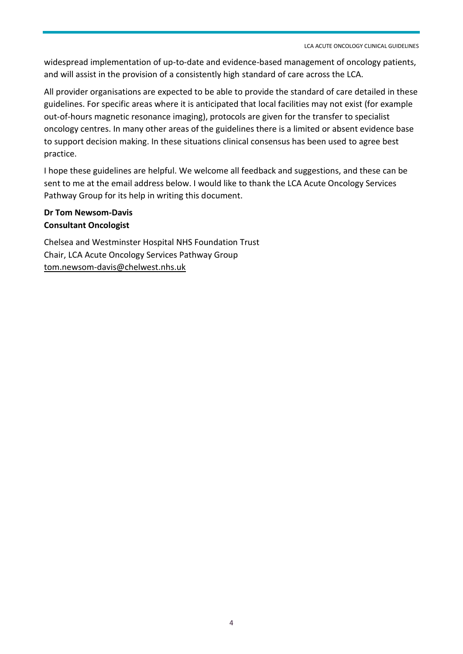LCA ACUTE ONCOLOGY CLINICAL GUIDELINES

widespread implementation of up-to-date and evidence-based management of oncology patients, and will assist in the provision of a consistently high standard of care across the LCA.

All provider organisations are expected to be able to provide the standard of care detailed in these guidelines. For specific areas where it is anticipated that local facilities may not exist (for example out-of-hours magnetic resonance imaging), protocols are given for the transfer to specialist oncology centres. In many other areas of the guidelines there is a limited or absent evidence base to support decision making. In these situations clinical consensus has been used to agree best practice.

I hope these guidelines are helpful. We welcome all feedback and suggestions, and these can be sent to me at the email address below. I would like to thank the LCA Acute Oncology Services Pathway Group for its help in writing this document.

#### **Dr Tom Newsom-Davis Consultant Oncologist**

Chelsea and Westminster Hospital NHS Foundation Trust Chair, LCA Acute Oncology Services Pathway Group tom.newsom-davis@chelwest.nhs.uk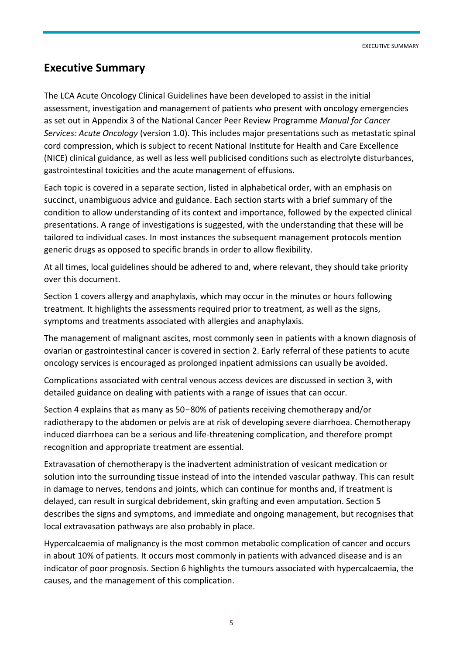## <span id="page-4-0"></span>**Executive Summary**

The LCA Acute Oncology Clinical Guidelines have been developed to assist in the initial assessment, investigation and management of patients who present with oncology emergencies as set out in Appendix 3 of the National Cancer Peer Review Programme *Manual for Cancer Services: Acute Oncology* (version 1.0). This includes major presentations such as metastatic spinal cord compression, which is subject to recent National Institute for Health and Care Excellence (NICE) clinical guidance, as well as less well publicised conditions such as electrolyte disturbances, gastrointestinal toxicities and the acute management of effusions.

Each topic is covered in a separate section, listed in alphabetical order, with an emphasis on succinct, unambiguous advice and guidance. Each section starts with a brief summary of the condition to allow understanding of its context and importance, followed by the expected clinical presentations. A range of investigations is suggested, with the understanding that these will be tailored to individual cases. In most instances the subsequent management protocols mention generic drugs as opposed to specific brands in order to allow flexibility.

At all times, local guidelines should be adhered to and, where relevant, they should take priority over this document.

Section 1 covers allergy and anaphylaxis, which may occur in the minutes or hours following treatment. It highlights the assessments required prior to treatment, as well as the signs, symptoms and treatments associated with allergies and anaphylaxis.

The management of malignant ascites, most commonly seen in patients with a known diagnosis of ovarian or gastrointestinal cancer is covered in section 2. Early referral of these patients to acute oncology services is encouraged as prolonged inpatient admissions can usually be avoided.

Complications associated with central venous access devices are discussed in section 3, with detailed guidance on dealing with patients with a range of issues that can occur.

Section 4 explains that as many as 50-80% of patients receiving chemotherapy and/or radiotherapy to the abdomen or pelvis are at risk of developing severe diarrhoea. Chemotherapy induced diarrhoea can be a serious and life-threatening complication, and therefore prompt recognition and appropriate treatment are essential.

Extravasation of chemotherapy is the inadvertent administration of vesicant medication or solution into the surrounding tissue instead of into the intended vascular pathway. This can result in damage to nerves, tendons and joints, which can continue for months and, if treatment is delayed, can result in surgical debridement, skin grafting and even amputation. Section 5 describes the signs and symptoms, and immediate and ongoing management, but recognises that local extravasation pathways are also probably in place.

Hypercalcaemia of malignancy is the most common metabolic complication of cancer and occurs in about 10% of patients. It occurs most commonly in patients with advanced disease and is an indicator of poor prognosis. Section 6 highlights the tumours associated with hypercalcaemia, the causes, and the management of this complication.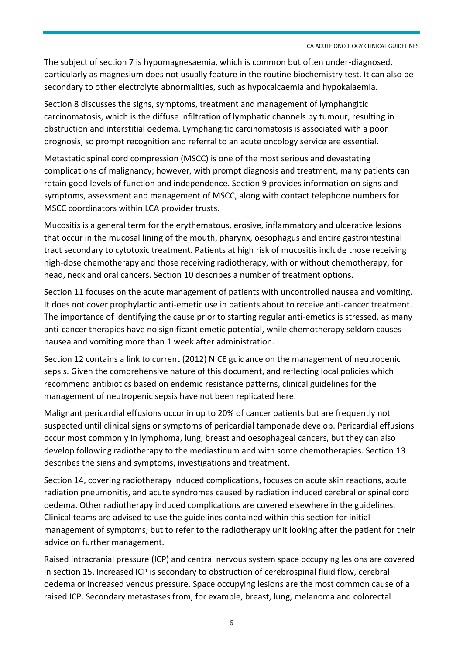LCA ACUTE ONCOLOGY CLINICAL GUIDELINES

The subject of section 7 is hypomagnesaemia, which is common but often under-diagnosed, particularly as magnesium does not usually feature in the routine biochemistry test. It can also be secondary to other electrolyte abnormalities, such as hypocalcaemia and hypokalaemia.

Section 8 discusses the signs, symptoms, treatment and management of lymphangitic carcinomatosis, which is the diffuse infiltration of lymphatic channels by tumour, resulting in obstruction and interstitial oedema. Lymphangitic carcinomatosis is associated with a poor prognosis, so prompt recognition and referral to an acute oncology service are essential.

Metastatic spinal cord compression (MSCC) is one of the most serious and devastating complications of malignancy; however, with prompt diagnosis and treatment, many patients can retain good levels of function and independence. Section 9 provides information on signs and symptoms, assessment and management of MSCC, along with contact telephone numbers for MSCC coordinators within LCA provider trusts.

Mucositis is a general term for the erythematous, erosive, inflammatory and ulcerative lesions that occur in the mucosal lining of the mouth, pharynx, oesophagus and entire gastrointestinal tract secondary to cytotoxic treatment. Patients at high risk of mucositis include those receiving high-dose chemotherapy and those receiving radiotherapy, with or without chemotherapy, for head, neck and oral cancers. Section 10 describes a number of treatment options.

Section 11 focuses on the acute management of patients with uncontrolled nausea and vomiting. It does not cover prophylactic anti-emetic use in patients about to receive anti-cancer treatment. The importance of identifying the cause prior to starting regular anti-emetics is stressed, as many anti-cancer therapies have no significant emetic potential, while chemotherapy seldom causes nausea and vomiting more than 1 week after administration.

Section 12 contains a link to current (2012) NICE guidance on the management of neutropenic sepsis. Given the comprehensive nature of this document, and reflecting local policies which recommend antibiotics based on endemic resistance patterns, clinical guidelines for the management of neutropenic sepsis have not been replicated here.

Malignant pericardial effusions occur in up to 20% of cancer patients but are frequently not suspected until clinical signs or symptoms of pericardial tamponade develop. Pericardial effusions occur most commonly in lymphoma, lung, breast and oesophageal cancers, but they can also develop following radiotherapy to the mediastinum and with some chemotherapies. Section 13 describes the signs and symptoms, investigations and treatment.

Section 14, covering radiotherapy induced complications, focuses on acute skin reactions, acute radiation pneumonitis, and acute syndromes caused by radiation induced cerebral or spinal cord oedema. Other radiotherapy induced complications are covered elsewhere in the guidelines. Clinical teams are advised to use the guidelines contained within this section for initial management of symptoms, but to refer to the radiotherapy unit looking after the patient for their advice on further management.

Raised intracranial pressure (ICP) and central nervous system space occupying lesions are covered in section 15. Increased ICP is secondary to obstruction of cerebrospinal fluid flow, cerebral oedema or increased venous pressure. Space occupying lesions are the most common cause of a raised ICP. Secondary metastases from, for example, breast, lung, melanoma and colorectal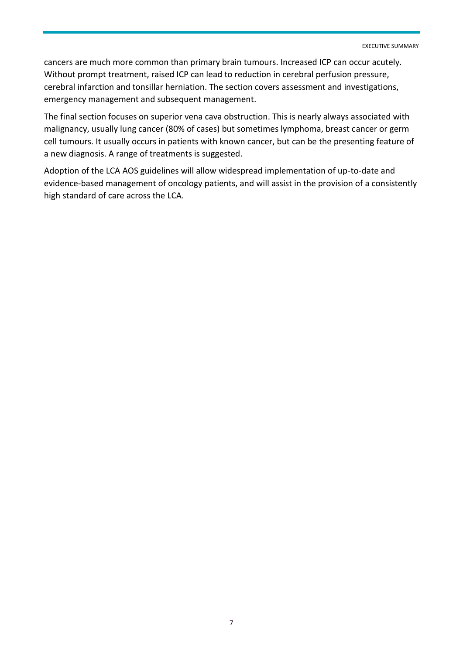cancers are much more common than primary brain tumours. Increased ICP can occur acutely. Without prompt treatment, raised ICP can lead to reduction in cerebral perfusion pressure, cerebral infarction and tonsillar herniation. The section covers assessment and investigations, emergency management and subsequent management.

The final section focuses on superior vena cava obstruction. This is nearly always associated with malignancy, usually lung cancer (80% of cases) but sometimes lymphoma, breast cancer or germ cell tumours. It usually occurs in patients with known cancer, but can be the presenting feature of a new diagnosis. A range of treatments is suggested.

Adoption of the LCA AOS guidelines will allow widespread implementation of up-to-date and evidence-based management of oncology patients, and will assist in the provision of a consistently high standard of care across the LCA.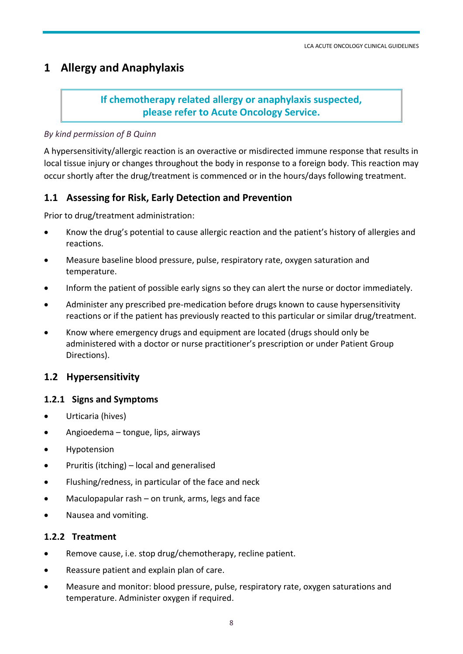# <span id="page-7-0"></span>**1 Allergy and Anaphylaxis**

## **If chemotherapy related allergy or anaphylaxis suspected, please refer to Acute Oncology Service.**

#### *By kind permission of B Quinn*

A hypersensitivity/allergic reaction is an overactive or misdirected immune response that results in local tissue injury or changes throughout the body in response to a foreign body. This reaction may occur shortly after the drug/treatment is commenced or in the hours/days following treatment.

## **1.1 Assessing for Risk, Early Detection and Prevention**

Prior to drug/treatment administration:

- Know the drug's potential to cause allergic reaction and the patient's history of allergies and reactions.
- Measure baseline blood pressure, pulse, respiratory rate, oxygen saturation and temperature.
- Inform the patient of possible early signs so they can alert the nurse or doctor immediately.
- Administer any prescribed pre-medication before drugs known to cause hypersensitivity reactions or if the patient has previously reacted to this particular or similar drug/treatment.
- Know where emergency drugs and equipment are located (drugs should only be administered with a doctor or nurse practitioner's prescription or under Patient Group Directions).

#### **1.2 Hypersensitivity**

#### **1.2.1 Signs and Symptoms**

- Urticaria (hives)
- Angioedema tongue, lips, airways
- Hypotension
- $\bullet$  Pruritis (itching) local and generalised
- Flushing/redness, in particular of the face and neck
- Maculopapular rash on trunk, arms, legs and face
- Nausea and vomiting.

#### **1.2.2 Treatment**

- Remove cause, i.e. stop drug/chemotherapy, recline patient.
- Reassure patient and explain plan of care.
- Measure and monitor: blood pressure, pulse, respiratory rate, oxygen saturations and temperature. Administer oxygen if required.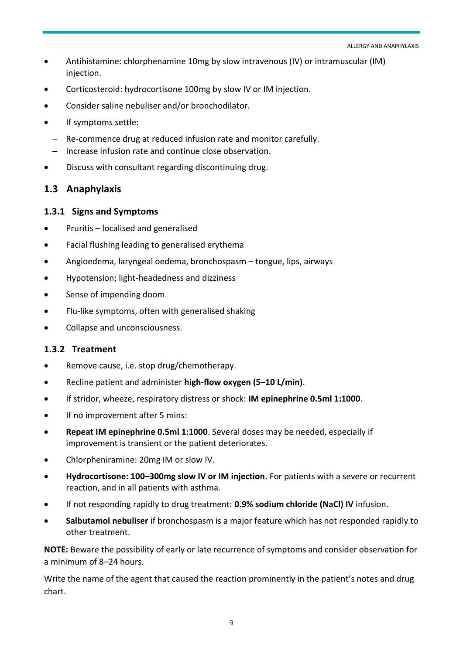- Antihistamine: chlorphenamine 10mg by slow intravenous (IV) or intramuscular (IM) injection.
- Corticosteroid: hydrocortisone 100mg by slow IV or IM injection.
- Consider saline nebuliser and/or bronchodilator.
- If symptoms settle:
	- Re-commence drug at reduced infusion rate and monitor carefully.
	- $-$  Increase infusion rate and continue close observation.
- Discuss with consultant regarding discontinuing drug.

#### **1.3 Anaphylaxis**

#### **1.3.1 Signs and Symptoms**

- Pruritis localised and generalised
- Facial flushing leading to generalised erythema
- Angioedema, laryngeal oedema, bronchospasm tongue, lips, airways
- Hypotension; light-headedness and dizziness
- Sense of impending doom
- Flu-like symptoms, often with generalised shaking
- Collapse and unconsciousness.

#### **1.3.2 Treatment**

- Remove cause, i.e. stop drug/chemotherapy.
- Recline patient and administer **high-flow oxygen (5–10 L/min)**.
- If stridor, wheeze, respiratory distress or shock: **IM epinephrine 0.5ml 1:1000**.
- If no improvement after 5 mins:
- **Repeat IM epinephrine 0.5ml 1:1000**. Several doses may be needed, especially if improvement is transient or the patient deteriorates.
- Chlorpheniramine: 20mg IM or slow IV.
- **Hydrocortisone: 100–300mg slow IV or IM injection**. For patients with a severe or recurrent reaction, and in all patients with asthma.
- If not responding rapidly to drug treatment: **0.9% sodium chloride (NaCl) IV** infusion.
- **Salbutamol nebuliser** if bronchospasm is a major feature which has not responded rapidly to other treatment.

**NOTE:** Beware the possibility of early or late recurrence of symptoms and consider observation for a minimum of 8–24 hours.

Write the name of the agent that caused the reaction prominently in the patient's notes and drug chart.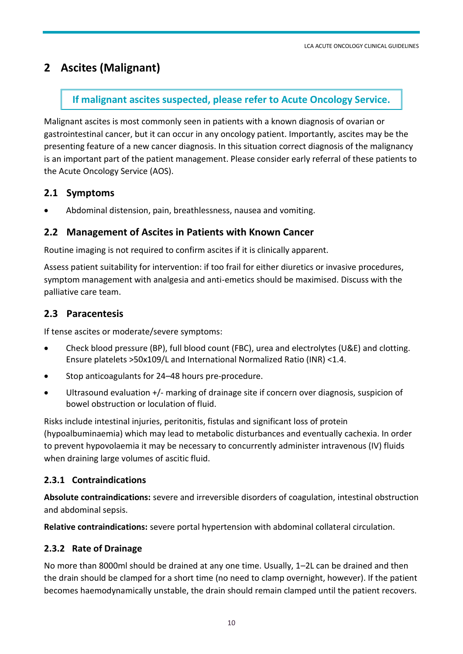# <span id="page-9-0"></span>**2 Ascites (Malignant)**

## **If malignant ascites suspected, please refer to Acute Oncology Service.**

Malignant ascites is most commonly seen in patients with a known diagnosis of ovarian or gastrointestinal cancer, but it can occur in any oncology patient. Importantly, ascites may be the presenting feature of a new cancer diagnosis. In this situation correct diagnosis of the malignancy is an important part of the patient management. Please consider early referral of these patients to the Acute Oncology Service (AOS).

## **2.1 Symptoms**

Abdominal distension, pain, breathlessness, nausea and vomiting.

## **2.2 Management of Ascites in Patients with Known Cancer**

Routine imaging is not required to confirm ascites if it is clinically apparent.

Assess patient suitability for intervention: if too frail for either diuretics or invasive procedures, symptom management with analgesia and anti-emetics should be maximised. Discuss with the palliative care team.

## **2.3 Paracentesis**

If tense ascites or moderate/severe symptoms:

- Check blood pressure (BP), full blood count (FBC), urea and electrolytes (U&E) and clotting. Ensure platelets >50x109/L and International Normalized Ratio (INR) <1.4.
- Stop anticoagulants for 24–48 hours pre-procedure.
- Ultrasound evaluation +/- marking of drainage site if concern over diagnosis, suspicion of bowel obstruction or loculation of fluid.

Risks include intestinal injuries, peritonitis, fistulas and significant loss of protein (hypoalbuminaemia) which may lead to metabolic disturbances and eventually cachexia. In order to prevent hypovolaemia it may be necessary to concurrently administer intravenous (IV) fluids when draining large volumes of ascitic fluid.

## **2.3.1 Contraindications**

**Absolute contraindications:** severe and irreversible disorders of coagulation, intestinal obstruction and abdominal sepsis.

**Relative contraindications:** severe portal hypertension with abdominal collateral circulation.

#### **2.3.2 Rate of Drainage**

No more than 8000ml should be drained at any one time. Usually, 1–2L can be drained and then the drain should be clamped for a short time (no need to clamp overnight, however). If the patient becomes haemodynamically unstable, the drain should remain clamped until the patient recovers.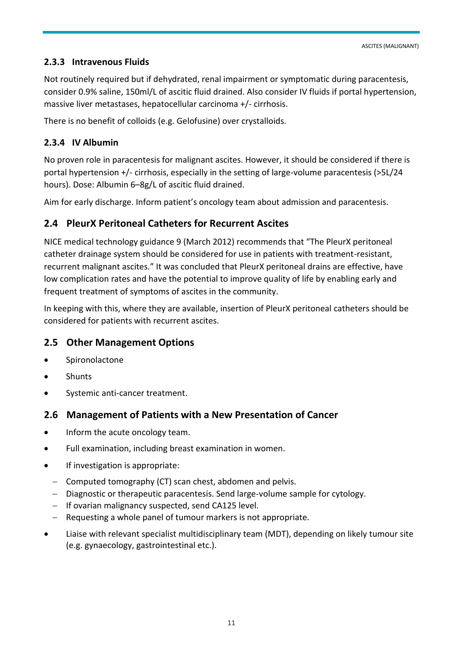## **2.3.3 Intravenous Fluids**

Not routinely required but if dehydrated, renal impairment or symptomatic during paracentesis, consider 0.9% saline, 150ml/L of ascitic fluid drained. Also consider IV fluids if portal hypertension, massive liver metastases, hepatocellular carcinoma +/- cirrhosis.

There is no benefit of colloids (e.g. Gelofusine) over crystalloids.

## **2.3.4 IV Albumin**

No proven role in paracentesis for malignant ascites. However, it should be considered if there is portal hypertension +/- cirrhosis, especially in the setting of large-volume paracentesis (>5L/24 hours). Dose: Albumin 6–8g/L of ascitic fluid drained.

Aim for early discharge. Inform patient's oncology team about admission and paracentesis.

## **2.4 PleurX Peritoneal Catheters for Recurrent Ascites**

NICE medical technology guidance 9 (March 2012) recommends that "The PleurX peritoneal catheter drainage system should be considered for use in patients with treatment-resistant, recurrent malignant ascites." It was concluded that PleurX peritoneal drains are effective, have low complication rates and have the potential to improve quality of life by enabling early and frequent treatment of symptoms of ascites in the community.

In keeping with this, where they are available, insertion of PleurX peritoneal catheters should be considered for patients with recurrent ascites.

#### **2.5 Other Management Options**

- Spironolactone
- Shunts
- Systemic anti-cancer treatment.

#### **2.6 Management of Patients with a New Presentation of Cancer**

- Inform the acute oncology team.
- Full examination, including breast examination in women.
- If investigation is appropriate:
	- Computed tomography (CT) scan chest, abdomen and pelvis.
	- Diagnostic or therapeutic paracentesis. Send large-volume sample for cytology.
	- $-$  If ovarian malignancy suspected, send CA125 level.
	- Requesting a whole panel of tumour markers is not appropriate.
- Liaise with relevant specialist multidisciplinary team (MDT), depending on likely tumour site (e.g. gynaecology, gastrointestinal etc.).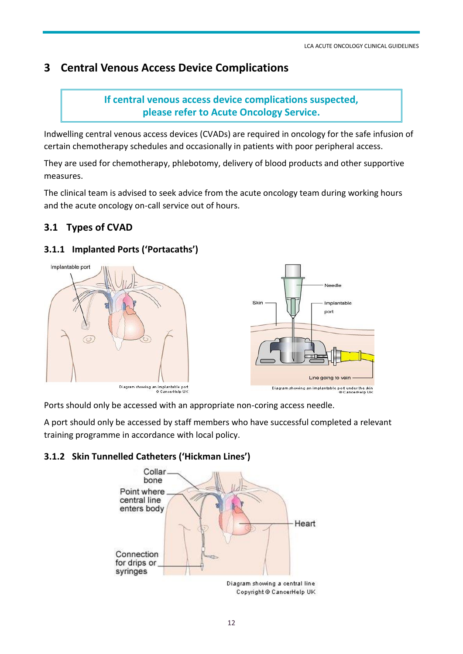# <span id="page-11-0"></span>**3 Central Venous Access Device Complications**

**If central venous access device complications suspected, please refer to Acute Oncology Service.**

Indwelling central venous access devices (CVADs) are required in oncology for the safe infusion of certain chemotherapy schedules and occasionally in patients with poor peripheral access.

They are used for chemotherapy, phlebotomy, delivery of blood products and other supportive measures.

The clinical team is advised to seek advice from the acute oncology team during working hours and the acute oncology on-call service out of hours.

## **3.1 Types of CVAD**

## **3.1.1 Implanted Ports ('Portacaths')**



Ports should only be accessed with an appropriate non-coring access needle.

A port should only be accessed by staff members who have successful completed a relevant training programme in accordance with local policy.

#### **3.1.2 Skin Tunnelled Catheters ('Hickman Lines')**

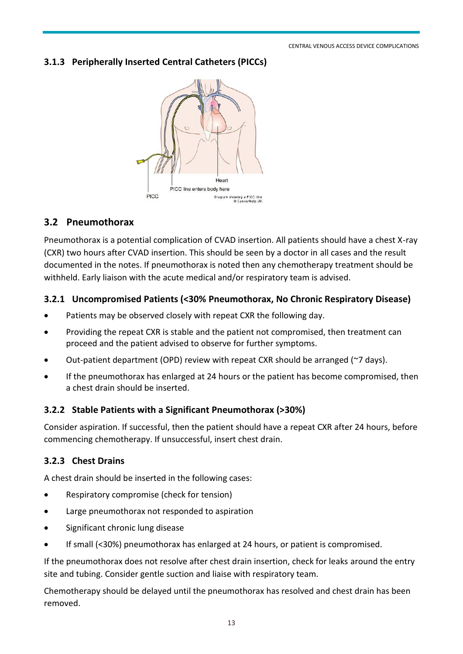## **3.1.3 Peripherally Inserted Central Catheters (PICCs)**



## **3.2 Pneumothorax**

Pneumothorax is a potential complication of CVAD insertion. All patients should have a chest X-ray (CXR) two hours after CVAD insertion. This should be seen by a doctor in all cases and the result documented in the notes. If pneumothorax is noted then any chemotherapy treatment should be withheld. Early liaison with the acute medical and/or respiratory team is advised.

#### **3.2.1 Uncompromised Patients (<30% Pneumothorax, No Chronic Respiratory Disease)**

- Patients may be observed closely with repeat CXR the following day.
- Providing the repeat CXR is stable and the patient not compromised, then treatment can proceed and the patient advised to observe for further symptoms.
- Out-patient department (OPD) review with repeat CXR should be arranged (~7 days).
- If the pneumothorax has enlarged at 24 hours or the patient has become compromised, then a chest drain should be inserted.

#### **3.2.2 Stable Patients with a Significant Pneumothorax (>30%)**

Consider aspiration. If successful, then the patient should have a repeat CXR after 24 hours, before commencing chemotherapy. If unsuccessful, insert chest drain.

#### **3.2.3 Chest Drains**

A chest drain should be inserted in the following cases:

- Respiratory compromise (check for tension)
- Large pneumothorax not responded to aspiration
- Significant chronic lung disease
- If small (<30%) pneumothorax has enlarged at 24 hours, or patient is compromised.

If the pneumothorax does not resolve after chest drain insertion, check for leaks around the entry site and tubing. Consider gentle suction and liaise with respiratory team.

Chemotherapy should be delayed until the pneumothorax has resolved and chest drain has been removed.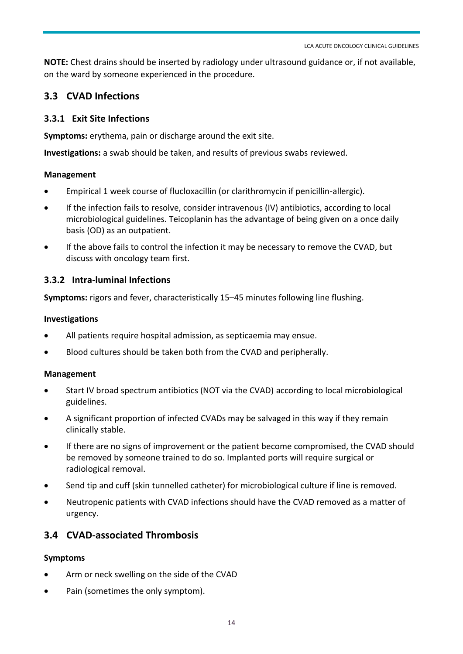LCA ACUTE ONCOLOGY CLINICAL GUIDELINES

**NOTE:** Chest drains should be inserted by radiology under ultrasound guidance or, if not available, on the ward by someone experienced in the procedure.

## **3.3 CVAD Infections**

## **3.3.1 Exit Site Infections**

**Symptoms:** erythema, pain or discharge around the exit site.

**Investigations:** a swab should be taken, and results of previous swabs reviewed.

#### **Management**

- Empirical 1 week course of flucloxacillin (or clarithromycin if penicillin-allergic).
- If the infection fails to resolve, consider intravenous (IV) antibiotics, according to local microbiological guidelines. Teicoplanin has the advantage of being given on a once daily basis (OD) as an outpatient.
- If the above fails to control the infection it may be necessary to remove the CVAD, but discuss with oncology team first.

## **3.3.2 Intra-luminal Infections**

**Symptoms:** rigors and fever, characteristically 15–45 minutes following line flushing.

#### **Investigations**

- All patients require hospital admission, as septicaemia may ensue.
- Blood cultures should be taken both from the CVAD and peripherally.

#### **Management**

- Start IV broad spectrum antibiotics (NOT via the CVAD) according to local microbiological guidelines.
- A significant proportion of infected CVADs may be salvaged in this way if they remain clinically stable.
- If there are no signs of improvement or the patient become compromised, the CVAD should be removed by someone trained to do so. Implanted ports will require surgical or radiological removal.
- Send tip and cuff (skin tunnelled catheter) for microbiological culture if line is removed.
- Neutropenic patients with CVAD infections should have the CVAD removed as a matter of urgency.

## **3.4 CVAD-associated Thrombosis**

#### **Symptoms**

- Arm or neck swelling on the side of the CVAD
- Pain (sometimes the only symptom).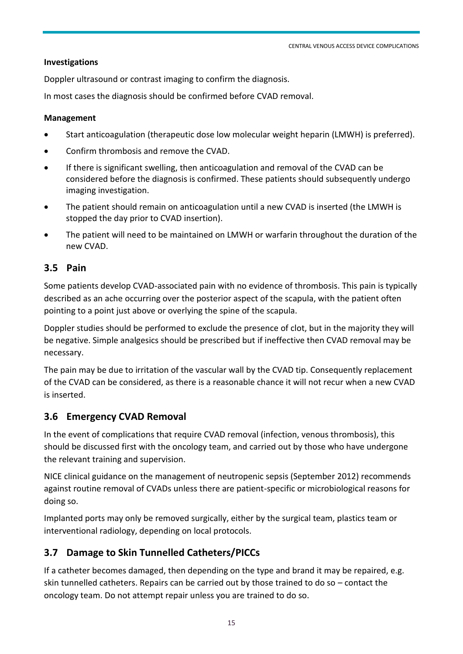#### **Investigations**

Doppler ultrasound or contrast imaging to confirm the diagnosis.

In most cases the diagnosis should be confirmed before CVAD removal.

#### **Management**

- Start anticoagulation (therapeutic dose low molecular weight heparin (LMWH) is preferred).
- Confirm thrombosis and remove the CVAD.
- If there is significant swelling, then anticoagulation and removal of the CVAD can be considered before the diagnosis is confirmed. These patients should subsequently undergo imaging investigation.
- The patient should remain on anticoagulation until a new CVAD is inserted (the LMWH is stopped the day prior to CVAD insertion).
- The patient will need to be maintained on LMWH or warfarin throughout the duration of the new CVAD.

## **3.5 Pain**

Some patients develop CVAD-associated pain with no evidence of thrombosis. This pain is typically described as an ache occurring over the posterior aspect of the scapula, with the patient often pointing to a point just above or overlying the spine of the scapula.

Doppler studies should be performed to exclude the presence of clot, but in the majority they will be negative. Simple analgesics should be prescribed but if ineffective then CVAD removal may be necessary.

The pain may be due to irritation of the vascular wall by the CVAD tip. Consequently replacement of the CVAD can be considered, as there is a reasonable chance it will not recur when a new CVAD is inserted.

#### **3.6 Emergency CVAD Removal**

In the event of complications that require CVAD removal (infection, venous thrombosis), this should be discussed first with the oncology team, and carried out by those who have undergone the relevant training and supervision.

NICE clinical guidance on the management of neutropenic sepsis (September 2012) recommends against routine removal of CVADs unless there are patient-specific or microbiological reasons for doing so.

Implanted ports may only be removed surgically, either by the surgical team, plastics team or interventional radiology, depending on local protocols.

## **3.7 Damage to Skin Tunnelled Catheters/PICCs**

If a catheter becomes damaged, then depending on the type and brand it may be repaired, e.g. skin tunnelled catheters. Repairs can be carried out by those trained to do so – contact the oncology team. Do not attempt repair unless you are trained to do so.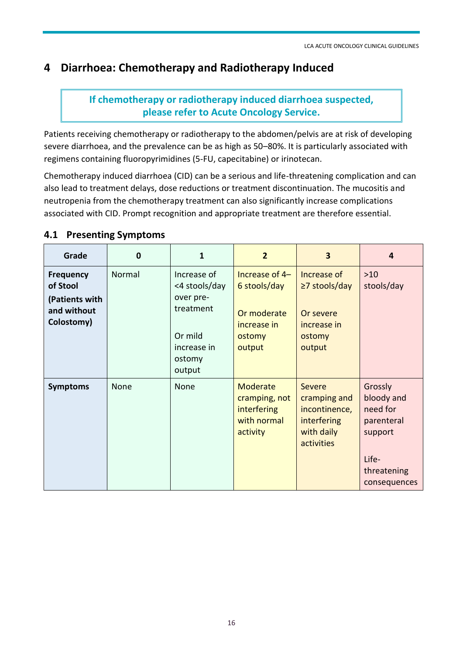# <span id="page-15-0"></span>**4 Diarrhoea: Chemotherapy and Radiotherapy Induced**

## **If chemotherapy or radiotherapy induced diarrhoea suspected, please refer to Acute Oncology Service.**

Patients receiving chemotherapy or radiotherapy to the abdomen/pelvis are at risk of developing severe diarrhoea, and the prevalence can be as high as 50–80%. It is particularly associated with regimens containing fluoropyrimidines (5-FU, capecitabine) or irinotecan.

Chemotherapy induced diarrhoea (CID) can be a serious and life-threatening complication and can also lead to treatment delays, dose reductions or treatment discontinuation. The mucositis and neutropenia from the chemotherapy treatment can also significantly increase complications associated with CID. Prompt recognition and appropriate treatment are therefore essential.

#### **Grade 0 1 2 3 4 Frequency of Stool (Patients with and without Colostomy)** Normal Increase of <4 stools/day over pretreatment Or mild increase in ostomy output Increase of 4– 6 stools/day Or moderate increase in ostomy output Increase of ≥7 stools/day Or severe increase in ostomy output >10 stools/day **Symptoms** None None Moderate cramping, not **interfering** with normal activity Severe cramping and incontinence, **interfering** with daily activities Grossly bloody and need for parenteral support Lifethreatening consequences

## **4.1 Presenting Symptoms**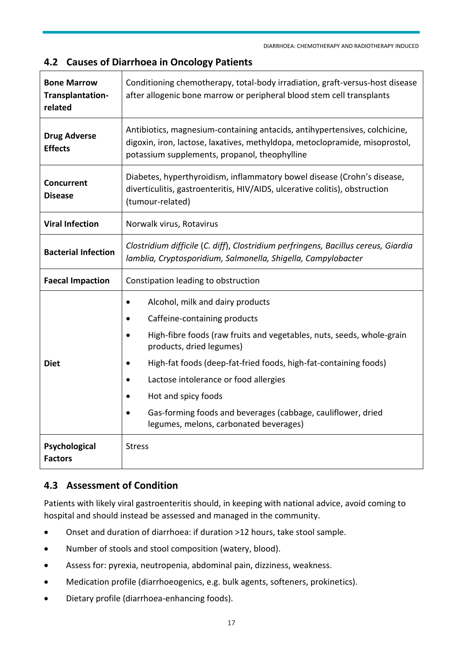## **4.2 Causes of Diarrhoea in Oncology Patients**

| <b>Bone Marrow</b><br>Transplantation-<br>related                                                                                                                                                          | Conditioning chemotherapy, total-body irradiation, graft-versus-host disease<br>after allogenic bone marrow or peripheral blood stem cell transplants                                                                                                                                                                                                                                                                         |  |  |
|------------------------------------------------------------------------------------------------------------------------------------------------------------------------------------------------------------|-------------------------------------------------------------------------------------------------------------------------------------------------------------------------------------------------------------------------------------------------------------------------------------------------------------------------------------------------------------------------------------------------------------------------------|--|--|
| <b>Drug Adverse</b><br><b>Effects</b>                                                                                                                                                                      | Antibiotics, magnesium-containing antacids, antihypertensives, colchicine,<br>digoxin, iron, lactose, laxatives, methyldopa, metoclopramide, misoprostol,<br>potassium supplements, propanol, theophylline                                                                                                                                                                                                                    |  |  |
| Diabetes, hyperthyroidism, inflammatory bowel disease (Crohn's disease,<br>Concurrent<br>diverticulitis, gastroenteritis, HIV/AIDS, ulcerative colitis), obstruction<br><b>Disease</b><br>(tumour-related) |                                                                                                                                                                                                                                                                                                                                                                                                                               |  |  |
| <b>Viral Infection</b>                                                                                                                                                                                     | Norwalk virus, Rotavirus                                                                                                                                                                                                                                                                                                                                                                                                      |  |  |
| <b>Bacterial Infection</b>                                                                                                                                                                                 | Clostridium difficile (C. diff), Clostridium perfringens, Bacillus cereus, Giardia<br>lamblia, Cryptosporidium, Salmonella, Shigella, Campylobacter                                                                                                                                                                                                                                                                           |  |  |
| <b>Faecal Impaction</b>                                                                                                                                                                                    | Constipation leading to obstruction                                                                                                                                                                                                                                                                                                                                                                                           |  |  |
| <b>Diet</b>                                                                                                                                                                                                | Alcohol, milk and dairy products<br>٠<br>Caffeine-containing products<br>٠<br>High-fibre foods (raw fruits and vegetables, nuts, seeds, whole-grain<br>products, dried legumes)<br>High-fat foods (deep-fat-fried foods, high-fat-containing foods)<br>Lactose intolerance or food allergies<br>Hot and spicy foods<br>Gas-forming foods and beverages (cabbage, cauliflower, dried<br>legumes, melons, carbonated beverages) |  |  |
| Psychological<br><b>Factors</b>                                                                                                                                                                            | <b>Stress</b>                                                                                                                                                                                                                                                                                                                                                                                                                 |  |  |

#### **4.3 Assessment of Condition**

Patients with likely viral gastroenteritis should, in keeping with national advice, avoid coming to hospital and should instead be assessed and managed in the community.

- Onset and duration of diarrhoea: if duration >12 hours, take stool sample.
- Number of stools and stool composition (watery, blood).
- Assess for: pyrexia, neutropenia, abdominal pain, dizziness, weakness.
- Medication profile (diarrhoeogenics, e.g. bulk agents, softeners, prokinetics).
- Dietary profile (diarrhoea-enhancing foods).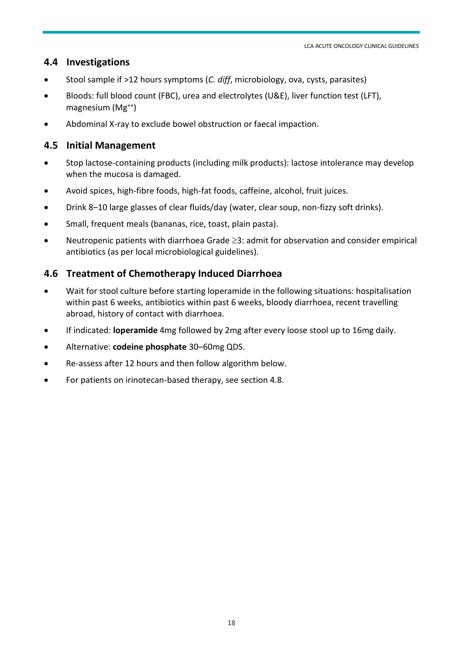## **4.4 Investigations**

- Stool sample if >12 hours symptoms (*C. diff*, microbiology, ova, cysts, parasites)
- Bloods: full blood count (FBC), urea and electrolytes (U&E), liver function test (LFT), magnesium (Mg++)
- Abdominal X-ray to exclude bowel obstruction or faecal impaction.

## **4.5 Initial Management**

- Stop lactose-containing products (including milk products): lactose intolerance may develop when the mucosa is damaged.
- Avoid spices, high-fibre foods, high-fat foods, caffeine, alcohol, fruit juices.
- Drink 8–10 large glasses of clear fluids/day (water, clear soup, non-fizzy soft drinks).
- Small, frequent meals (bananas, rice, toast, plain pasta).
- Neutropenic patients with diarrhoea Grade  $\geq$ 3: admit for observation and consider empirical antibiotics (as per local microbiological guidelines).

## **4.6 Treatment of Chemotherapy Induced Diarrhoea**

- Wait for stool culture before starting loperamide in the following situations: hospitalisation within past 6 weeks, antibiotics within past 6 weeks, bloody diarrhoea, recent travelling abroad, history of contact with diarrhoea.
- If indicated: **loperamide** 4mg followed by 2mg after every loose stool up to 16mg daily.
- Alternative: **codeine phosphate** 30–60mg QDS.
- Re-assess after 12 hours and then follow algorithm below.
- For patients on irinotecan-based therapy, see section 4.8.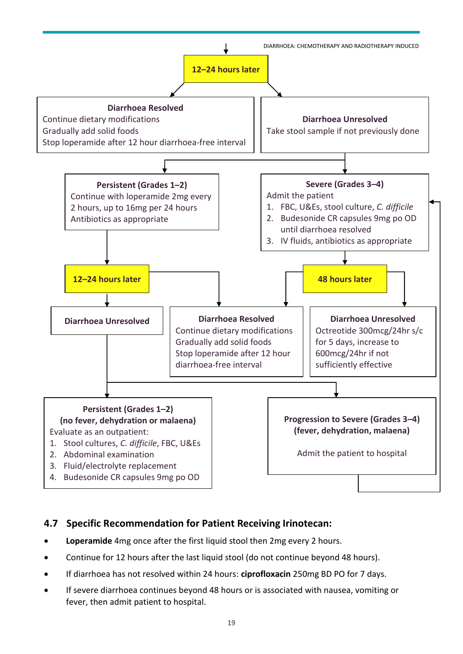

## **4.7 Specific Recommendation for Patient Receiving Irinotecan:**

- **Loperamide** 4mg once after the first liquid stool then 2mg every 2 hours.
- Continue for 12 hours after the last liquid stool (do not continue beyond 48 hours).
- If diarrhoea has not resolved within 24 hours: **ciprofloxacin** 250mg BD PO for 7 days.
- If severe diarrhoea continues beyond 48 hours or is associated with nausea, vomiting or fever, then admit patient to hospital.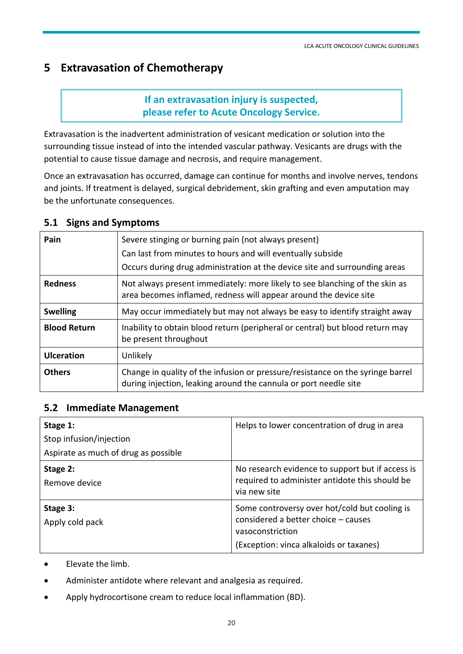# <span id="page-19-0"></span>**5 Extravasation of Chemotherapy**

## **If an extravasation injury is suspected, please refer to Acute Oncology Service.**

Extravasation is the inadvertent administration of vesicant medication or solution into the surrounding tissue instead of into the intended vascular pathway. Vesicants are drugs with the potential to cause tissue damage and necrosis, and require management.

Once an extravasation has occurred, damage can continue for months and involve nerves, tendons and joints. If treatment is delayed, surgical debridement, skin grafting and even amputation may be the unfortunate consequences.

| Pain                | Severe stinging or burning pain (not always present)<br>Can last from minutes to hours and will eventually subside<br>Occurs during drug administration at the device site and surrounding areas |
|---------------------|--------------------------------------------------------------------------------------------------------------------------------------------------------------------------------------------------|
| <b>Redness</b>      | Not always present immediately: more likely to see blanching of the skin as<br>area becomes inflamed, redness will appear around the device site                                                 |
| <b>Swelling</b>     | May occur immediately but may not always be easy to identify straight away                                                                                                                       |
| <b>Blood Return</b> | Inability to obtain blood return (peripheral or central) but blood return may<br>be present throughout                                                                                           |
| <b>Ulceration</b>   | Unlikely                                                                                                                                                                                         |
| <b>Others</b>       | Change in quality of the infusion or pressure/resistance on the syringe barrel<br>during injection, leaking around the cannula or port needle site                                               |

#### **5.1 Signs and Symptoms**

#### **5.2 Immediate Management**

| Stage 1:                                                        | Helps to lower concentration of drug in area                                                                                                        |
|-----------------------------------------------------------------|-----------------------------------------------------------------------------------------------------------------------------------------------------|
| Stop infusion/injection<br>Aspirate as much of drug as possible |                                                                                                                                                     |
| Stage 2:<br>Remove device                                       | No research evidence to support but if access is<br>required to administer antidote this should be<br>via new site                                  |
| Stage 3:<br>Apply cold pack                                     | Some controversy over hot/cold but cooling is<br>considered a better choice - causes<br>vasoconstriction<br>(Exception: vinca alkaloids or taxanes) |

- Elevate the limb.
- Administer antidote where relevant and analgesia as required.
- Apply hydrocortisone cream to reduce local inflammation (BD).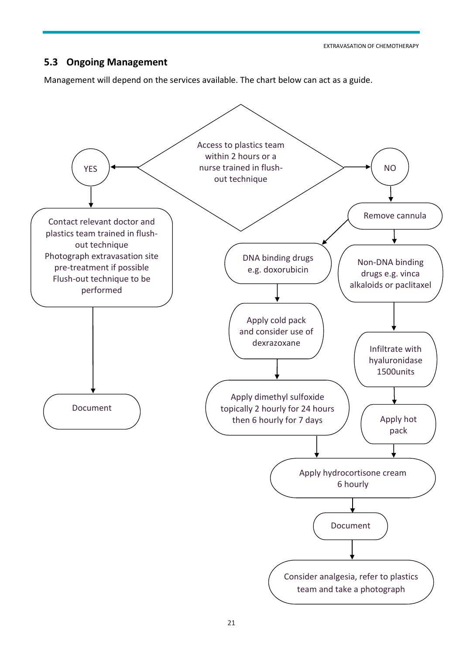EXTRAVASATION OF CHEMOTHERAPY

## **5.3 Ongoing Management**

Management will depend on the services available. The chart below can act as a guide.

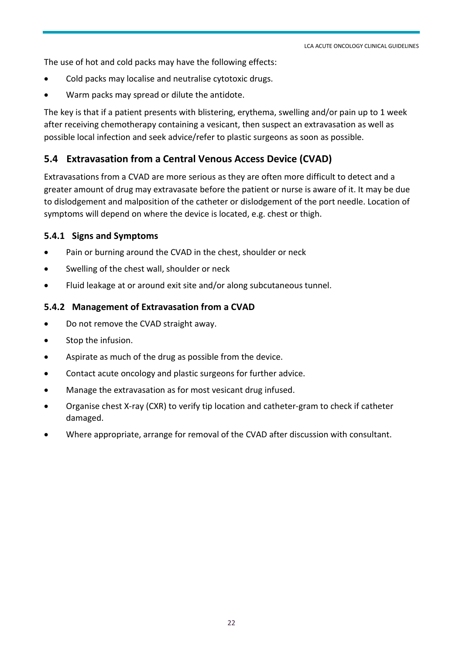The use of hot and cold packs may have the following effects:

- Cold packs may localise and neutralise cytotoxic drugs.
- Warm packs may spread or dilute the antidote.

The key is that if a patient presents with blistering, erythema, swelling and/or pain up to 1 week after receiving chemotherapy containing a vesicant, then suspect an extravasation as well as possible local infection and seek advice/refer to plastic surgeons as soon as possible.

## **5.4 Extravasation from a Central Venous Access Device (CVAD)**

Extravasations from a CVAD are more serious as they are often more difficult to detect and a greater amount of drug may extravasate before the patient or nurse is aware of it. It may be due to dislodgement and malposition of the catheter or dislodgement of the port needle. Location of symptoms will depend on where the device is located, e.g. chest or thigh.

#### **5.4.1 Signs and Symptoms**

- Pain or burning around the CVAD in the chest, shoulder or neck
- Swelling of the chest wall, shoulder or neck
- Fluid leakage at or around exit site and/or along subcutaneous tunnel.

#### **5.4.2 Management of Extravasation from a CVAD**

- Do not remove the CVAD straight away.
- Stop the infusion.
- Aspirate as much of the drug as possible from the device.
- Contact acute oncology and plastic surgeons for further advice.
- Manage the extravasation as for most vesicant drug infused.
- Organise chest X-ray (CXR) to verify tip location and catheter-gram to check if catheter damaged.
- Where appropriate, arrange for removal of the CVAD after discussion with consultant.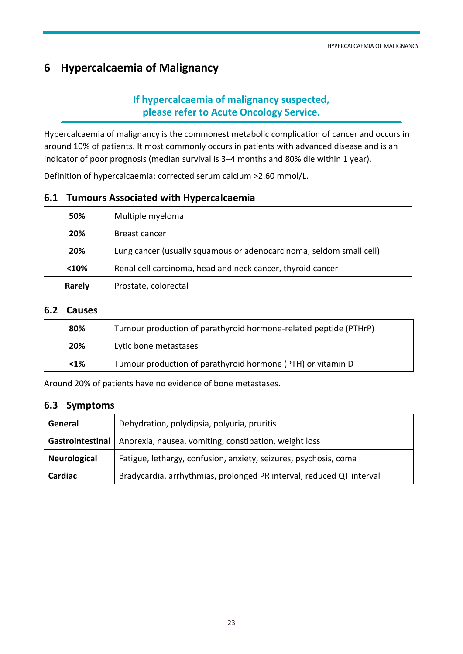# <span id="page-22-0"></span>**6 Hypercalcaemia of Malignancy**

## **If hypercalcaemia of malignancy suspected, please refer to Acute Oncology Service.**

Hypercalcaemia of malignancy is the commonest metabolic complication of cancer and occurs in around 10% of patients. It most commonly occurs in patients with advanced disease and is an indicator of poor prognosis (median survival is 3–4 months and 80% die within 1 year).

Definition of hypercalcaemia: corrected serum calcium >2.60 mmol/L.

## **6.1 Tumours Associated with Hypercalcaemia**

| 50%                                                                 | Multiple myeloma                                                    |  |
|---------------------------------------------------------------------|---------------------------------------------------------------------|--|
| 20%                                                                 | Breast cancer                                                       |  |
| 20%                                                                 | Lung cancer (usually squamous or adenocarcinoma; seldom small cell) |  |
| Renal cell carcinoma, head and neck cancer, thyroid cancer<br>< 10% |                                                                     |  |
| Rarely                                                              | Prostate, colorectal                                                |  |

#### **6.2 Causes**

| 80%  | Tumour production of parathyroid hormone-related peptide (PTHrP) |  |
|------|------------------------------------------------------------------|--|
| 20%  | Lytic bone metastases                                            |  |
| $1%$ | Tumour production of parathyroid hormone (PTH) or vitamin D      |  |

Around 20% of patients have no evidence of bone metastases.

#### **6.3 Symptoms**

| Dehydration, polydipsia, polyuria, pruritis<br>General                          |                                                                  |
|---------------------------------------------------------------------------------|------------------------------------------------------------------|
| Anorexia, nausea, vomiting, constipation, weight loss<br>Gastrointestinal       |                                                                  |
| <b>Neurological</b>                                                             | Fatigue, lethargy, confusion, anxiety, seizures, psychosis, coma |
| Bradycardia, arrhythmias, prolonged PR interval, reduced QT interval<br>Cardiac |                                                                  |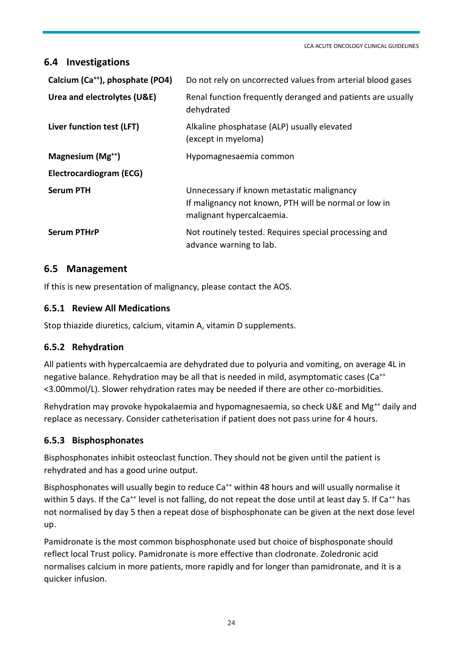## **6.4 Investigations**

| Calcium (Ca <sup>++</sup> ), phosphate (PO4) | Do not rely on uncorrected values from arterial blood gases                                                                      |
|----------------------------------------------|----------------------------------------------------------------------------------------------------------------------------------|
| Urea and electrolytes (U&E)                  | Renal function frequently deranged and patients are usually<br>dehydrated                                                        |
| Liver function test (LFT)                    | Alkaline phosphatase (ALP) usually elevated<br>(except in myeloma)                                                               |
| Magnesium $(Mg^{++})$                        | Hypomagnesaemia common                                                                                                           |
| Electrocardiogram (ECG)                      |                                                                                                                                  |
| <b>Serum PTH</b>                             | Unnecessary if known metastatic malignancy<br>If malignancy not known, PTH will be normal or low in<br>malignant hypercalcaemia. |
| <b>Serum PTHrP</b>                           | Not routinely tested. Requires special processing and<br>advance warning to lab.                                                 |

## **6.5 Management**

If this is new presentation of malignancy, please contact the AOS.

#### **6.5.1 Review All Medications**

Stop thiazide diuretics, calcium, vitamin A, vitamin D supplements.

#### **6.5.2 Rehydration**

All patients with hypercalcaemia are dehydrated due to polyuria and vomiting, on average 4L in negative balance. Rehydration may be all that is needed in mild, asymptomatic cases (Ca<sup>++</sup> <3.00mmol/L). Slower rehydration rates may be needed if there are other co-morbidities.

Rehydration may provoke hypokalaemia and hypomagnesaemia, so check U&E and Mg<sup>++</sup> daily and replace as necessary. Consider catheterisation if patient does not pass urine for 4 hours.

#### **6.5.3 Bisphosphonates**

Bisphosphonates inhibit osteoclast function. They should not be given until the patient is rehydrated and has a good urine output.

Bisphosphonates will usually begin to reduce Ca<sup>++</sup> within 48 hours and will usually normalise it within 5 days. If the Ca<sup>++</sup> level is not falling, do not repeat the dose until at least day 5. If Ca<sup>++</sup> has not normalised by day 5 then a repeat dose of bisphosphonate can be given at the next dose level up.

Pamidronate is the most common bisphosphonate used but choice of bisphosponate should reflect local Trust policy. Pamidronate is more effective than clodronate. Zoledronic acid normalises calcium in more patients, more rapidly and for longer than pamidronate, and it is a quicker infusion.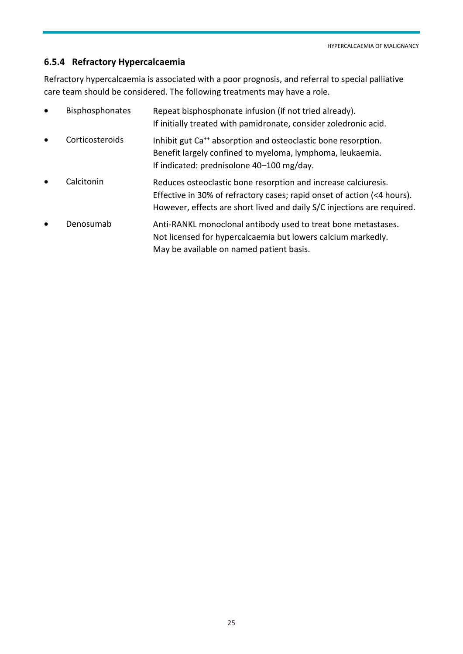## **6.5.4 Refractory Hypercalcaemia**

Refractory hypercalcaemia is associated with a poor prognosis, and referral to special palliative care team should be considered. The following treatments may have a role.

| $\bullet$ | <b>Bisphosphonates</b> | Repeat bisphosphonate infusion (if not tried already).<br>If initially treated with pamidronate, consider zoledronic acid.                                                                                           |
|-----------|------------------------|----------------------------------------------------------------------------------------------------------------------------------------------------------------------------------------------------------------------|
| $\bullet$ | Corticosteroids        | Inhibit gut Ca <sup>++</sup> absorption and osteoclastic bone resorption.<br>Benefit largely confined to myeloma, lymphoma, leukaemia.<br>If indicated: prednisolone 40-100 mg/day.                                  |
| $\bullet$ | Calcitonin             | Reduces osteoclastic bone resorption and increase calciuresis.<br>Effective in 30% of refractory cases; rapid onset of action (<4 hours).<br>However, effects are short lived and daily S/C injections are required. |
| $\bullet$ | Denosumab              | Anti-RANKL monoclonal antibody used to treat bone metastases.<br>Not licensed for hypercalcaemia but lowers calcium markedly.<br>May be available on named patient basis.                                            |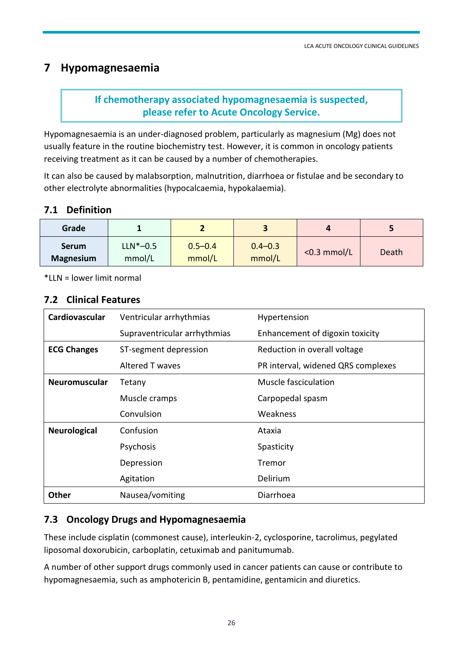# <span id="page-25-0"></span>**7 Hypomagnesaemia**

## **If chemotherapy associated hypomagnesaemia is suspected, please refer to Acute Oncology Service.**

Hypomagnesaemia is an under-diagnosed problem, particularly as magnesium (Mg) does not usually feature in the routine biochemistry test. However, it is common in oncology patients receiving treatment as it can be caused by a number of chemotherapies.

It can also be caused by malabsorption, malnutrition, diarrhoea or fistulae and be secondary to other electrolyte abnormalities (hypocalcaemia, hypokalaemia).

## **7.1 Definition**

| Grade                            |                      |                       |                       |                |       |
|----------------------------------|----------------------|-----------------------|-----------------------|----------------|-------|
| <b>Serum</b><br><b>Magnesium</b> | $LLN*-0.5$<br>mmol/L | $0.5 - 0.4$<br>mmol/L | $0.4 - 0.3$<br>mmol/L | $<$ 0.3 mmol/L | Death |

\*LLN = lower limit normal

#### **7.2 Clinical Features**

| Cardiovascular      | Ventricular arrhythmias      | Hypertension                       |
|---------------------|------------------------------|------------------------------------|
|                     | Supraventricular arrhythmias | Enhancement of digoxin toxicity    |
| <b>ECG Changes</b>  | ST-segment depression        | Reduction in overall voltage       |
|                     | Altered T waves              | PR interval, widened QRS complexes |
| Neuromuscular       | Tetany                       | Muscle fasciculation               |
|                     | Muscle cramps                | Carpopedal spasm                   |
|                     | Convulsion                   | Weakness                           |
| <b>Neurological</b> | Confusion                    | Ataxia                             |
|                     | Psychosis                    | Spasticity                         |
|                     | Depression                   | Tremor                             |
|                     | Agitation                    | Delirium                           |
| <b>Other</b>        | Nausea/vomiting              | Diarrhoea                          |

## **7.3 Oncology Drugs and Hypomagnesaemia**

These include cisplatin (commonest cause), interleukin-2, cyclosporine, tacrolimus, pegylated liposomal doxorubicin, carboplatin, cetuximab and panitumumab.

A number of other support drugs commonly used in cancer patients can cause or contribute to hypomagnesaemia, such as amphotericin B, pentamidine, gentamicin and diuretics.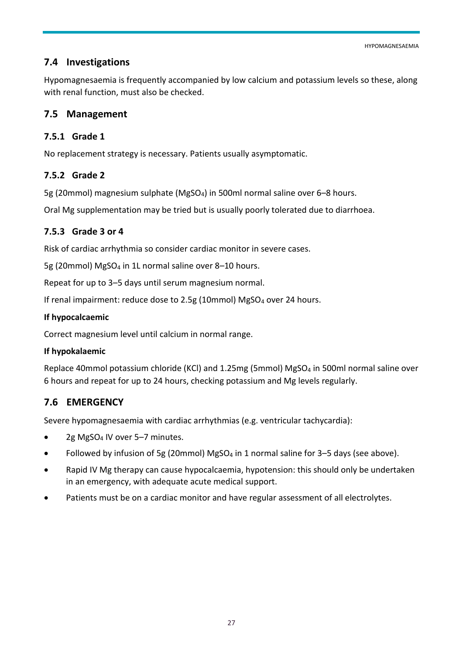## **7.4 Investigations**

Hypomagnesaemia is frequently accompanied by low calcium and potassium levels so these, along with renal function, must also be checked.

#### **7.5 Management**

#### **7.5.1 Grade 1**

No replacement strategy is necessary. Patients usually asymptomatic.

#### **7.5.2 Grade 2**

5g (20mmol) magnesium sulphate (MgSO4) in 500ml normal saline over 6–8 hours.

Oral Mg supplementation may be tried but is usually poorly tolerated due to diarrhoea.

#### **7.5.3 Grade 3 or 4**

Risk of cardiac arrhythmia so consider cardiac monitor in severe cases.

5g (20mmol) MgSO<sup>4</sup> in 1L normal saline over 8–10 hours.

Repeat for up to 3–5 days until serum magnesium normal.

If renal impairment: reduce dose to 2.5g (10mmol) MgSO<sup>4</sup> over 24 hours.

#### **If hypocalcaemic**

Correct magnesium level until calcium in normal range.

#### **If hypokalaemic**

Replace 40mmol potassium chloride (KCl) and 1.25mg (5mmol) MgSO<sup>4</sup> in 500ml normal saline over 6 hours and repeat for up to 24 hours, checking potassium and Mg levels regularly.

## **7.6 EMERGENCY**

Severe hypomagnesaemia with cardiac arrhythmias (e.g. ventricular tachycardia):

- 2g MgSO<sup>4</sup> IV over 5–7 minutes.
- Followed by infusion of 5g (20mmol) MgSO<sub>4</sub> in 1 normal saline for 3-5 days (see above).
- Rapid IV Mg therapy can cause hypocalcaemia, hypotension: this should only be undertaken in an emergency, with adequate acute medical support.
- Patients must be on a cardiac monitor and have regular assessment of all electrolytes.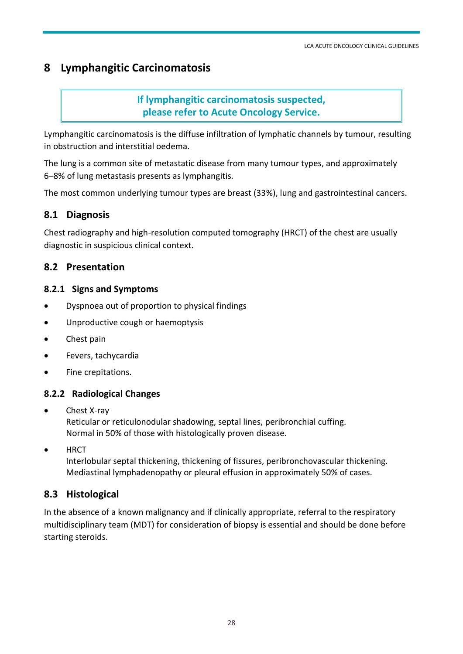# <span id="page-27-0"></span>**8 Lymphangitic Carcinomatosis**

## **If lymphangitic carcinomatosis suspected, please refer to Acute Oncology Service.**

Lymphangitic carcinomatosis is the diffuse infiltration of lymphatic channels by tumour, resulting in obstruction and interstitial oedema.

The lung is a common site of metastatic disease from many tumour types, and approximately 6–8% of lung metastasis presents as lymphangitis.

The most common underlying tumour types are breast (33%), lung and gastrointestinal cancers.

## **8.1 Diagnosis**

Chest radiography and high-resolution computed tomography (HRCT) of the chest are usually diagnostic in suspicious clinical context.

## **8.2 Presentation**

## **8.2.1 Signs and Symptoms**

- Dyspnoea out of proportion to physical findings
- Unproductive cough or haemoptysis
- Chest pain
- Fevers, tachycardia
- Fine crepitations.

#### **8.2.2 Radiological Changes**

- Chest X-ray Reticular or reticulonodular shadowing, septal lines, peribronchial cuffing. Normal in 50% of those with histologically proven disease.
- HRCT

Interlobular septal thickening, thickening of fissures, peribronchovascular thickening. Mediastinal lymphadenopathy or pleural effusion in approximately 50% of cases.

## **8.3 Histological**

In the absence of a known malignancy and if clinically appropriate, referral to the respiratory multidisciplinary team (MDT) for consideration of biopsy is essential and should be done before starting steroids.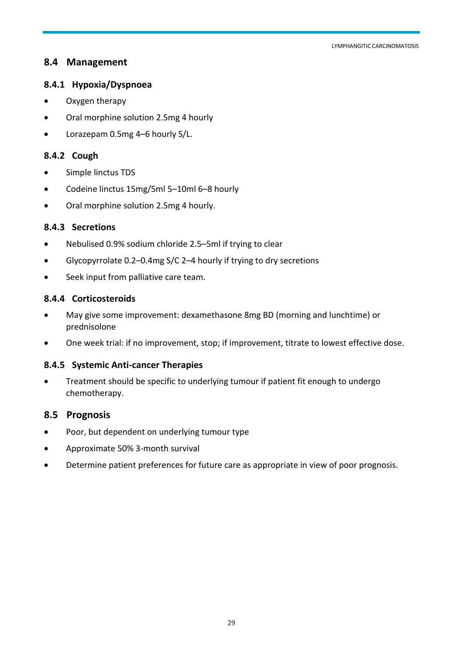LYMPHANGITIC CARCINOMATOSIS

## **8.4 Management**

#### **8.4.1 Hypoxia/Dyspnoea**

- Oxygen therapy
- Oral morphine solution 2.5mg 4 hourly
- Lorazepam 0.5mg 4–6 hourly S/L.

## **8.4.2 Cough**

- Simple linctus TDS
- Codeine linctus 15mg/5ml 5-10ml 6-8 hourly
- Oral morphine solution 2.5mg 4 hourly.

#### **8.4.3 Secretions**

- Nebulised 0.9% sodium chloride 2.5–5ml if trying to clear
- Glycopyrrolate 0.2–0.4mg S/C 2–4 hourly if trying to dry secretions
- Seek input from palliative care team.

#### **8.4.4 Corticosteroids**

- May give some improvement: dexamethasone 8mg BD (morning and lunchtime) or prednisolone
- One week trial: if no improvement, stop; if improvement, titrate to lowest effective dose.

#### **8.4.5 Systemic Anti-cancer Therapies**

 Treatment should be specific to underlying tumour if patient fit enough to undergo chemotherapy.

#### **8.5 Prognosis**

- Poor, but dependent on underlying tumour type
- Approximate 50% 3-month survival
- Determine patient preferences for future care as appropriate in view of poor prognosis.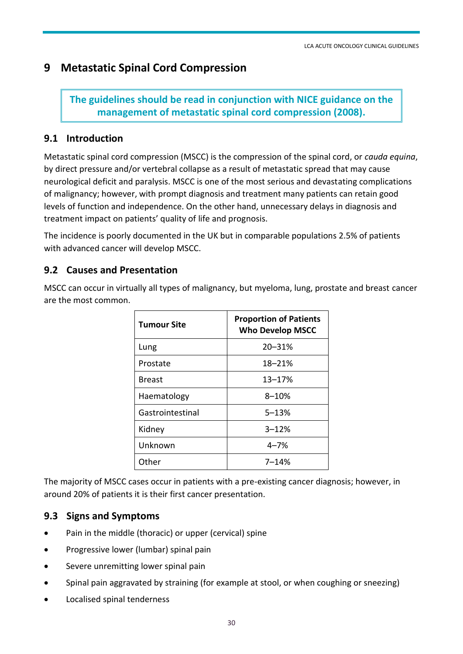# <span id="page-29-0"></span>**9 Metastatic Spinal Cord Compression**

**The guidelines should be read in conjunction with NICE guidance on the management of metastatic spinal cord compression (2008).**

#### **9.1 Introduction**

Metastatic spinal cord compression (MSCC) is the compression of the spinal cord, or *cauda equina*, by direct pressure and/or vertebral collapse as a result of metastatic spread that may cause neurological deficit and paralysis. MSCC is one of the most serious and devastating complications of malignancy; however, with prompt diagnosis and treatment many patients can retain good levels of function and independence. On the other hand, unnecessary delays in diagnosis and treatment impact on patients' quality of life and prognosis.

The incidence is poorly documented in the UK but in comparable populations 2.5% of patients with advanced cancer will develop MSCC.

## **9.2 Causes and Presentation**

MSCC can occur in virtually all types of malignancy, but myeloma, lung, prostate and breast cancer are the most common.

| <b>Tumour Site</b> | <b>Proportion of Patients</b><br><b>Who Develop MSCC</b> |
|--------------------|----------------------------------------------------------|
| Lung               | 20-31%                                                   |
| Prostate           | 18-21%                                                   |
| Breast             | 13-17%                                                   |
| Haematology        | $8 - 10%$                                                |
| Gastrointestinal   | $5 - 13%$                                                |
| Kidney             | $3 - 12%$                                                |
| Unknown            | $4 - 7%$                                                 |
| Other              | 7–14%                                                    |

The majority of MSCC cases occur in patients with a pre-existing cancer diagnosis; however, in around 20% of patients it is their first cancer presentation.

#### **9.3 Signs and Symptoms**

- Pain in the middle (thoracic) or upper (cervical) spine
- Progressive lower (lumbar) spinal pain
- Severe unremitting lower spinal pain
- Spinal pain aggravated by straining (for example at stool, or when coughing or sneezing)
- Localised spinal tenderness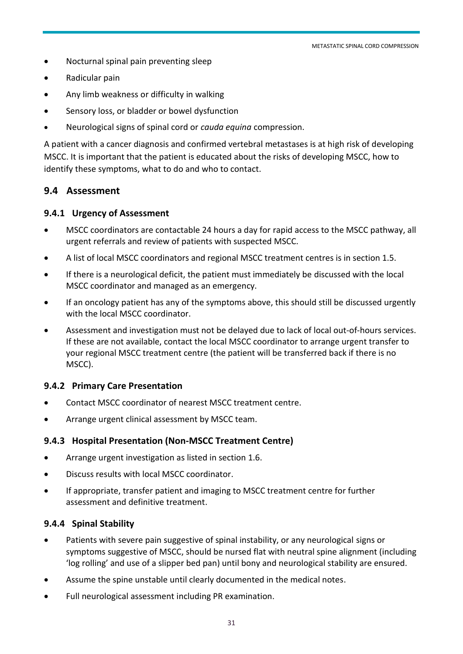- Nocturnal spinal pain preventing sleep
- Radicular pain
- Any limb weakness or difficulty in walking
- Sensory loss, or bladder or bowel dysfunction
- Neurological signs of spinal cord or *cauda equina* compression.

A patient with a cancer diagnosis and confirmed vertebral metastases is at high risk of developing MSCC. It is important that the patient is educated about the risks of developing MSCC, how to identify these symptoms, what to do and who to contact.

## **9.4 Assessment**

#### **9.4.1 Urgency of Assessment**

- MSCC coordinators are contactable 24 hours a day for rapid access to the MSCC pathway, all urgent referrals and review of patients with suspected MSCC.
- A list of local MSCC coordinators and regional MSCC treatment centres is in section 1.5.
- If there is a neurological deficit, the patient must immediately be discussed with the local MSCC coordinator and managed as an emergency.
- If an oncology patient has any of the symptoms above, this should still be discussed urgently with the local MSCC coordinator.
- Assessment and investigation must not be delayed due to lack of local out-of-hours services. If these are not available, contact the local MSCC coordinator to arrange urgent transfer to your regional MSCC treatment centre (the patient will be transferred back if there is no MSCC).

#### **9.4.2 Primary Care Presentation**

- Contact MSCC coordinator of nearest MSCC treatment centre.
- Arrange urgent clinical assessment by MSCC team.

#### **9.4.3 Hospital Presentation (Non-MSCC Treatment Centre)**

- Arrange urgent investigation as listed in section 1.6.
- Discuss results with local MSCC coordinator.
- If appropriate, transfer patient and imaging to MSCC treatment centre for further assessment and definitive treatment.

#### **9.4.4 Spinal Stability**

- Patients with severe pain suggestive of spinal instability, or any neurological signs or symptoms suggestive of MSCC, should be nursed flat with neutral spine alignment (including 'log rolling' and use of a slipper bed pan) until bony and neurological stability are ensured.
- Assume the spine unstable until clearly documented in the medical notes.
- Full neurological assessment including PR examination.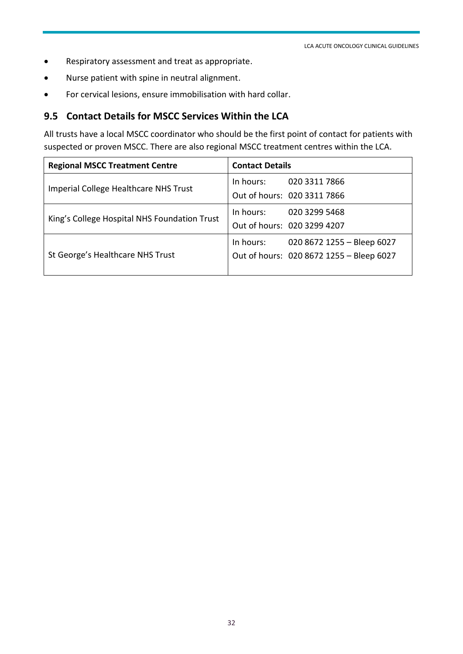- Respiratory assessment and treat as appropriate.
- Nurse patient with spine in neutral alignment.
- For cervical lesions, ensure immobilisation with hard collar.

## **9.5 Contact Details for MSCC Services Within the LCA**

All trusts have a local MSCC coordinator who should be the first point of contact for patients with suspected or proven MSCC. There are also regional MSCC treatment centres within the LCA.

| <b>Regional MSCC Treatment Centre</b>        | <b>Contact Details</b>                                                           |  |  |
|----------------------------------------------|----------------------------------------------------------------------------------|--|--|
| Imperial College Healthcare NHS Trust        | In hours:<br>020 3311 7866<br>Out of hours: 020 3311 7866                        |  |  |
| King's College Hospital NHS Foundation Trust | In hours: 020 3299 5468<br>Out of hours: 020 3299 4207                           |  |  |
| St George's Healthcare NHS Trust             | In hours: 020 8672 1255 - Bleep 6027<br>Out of hours: 020 8672 1255 - Bleep 6027 |  |  |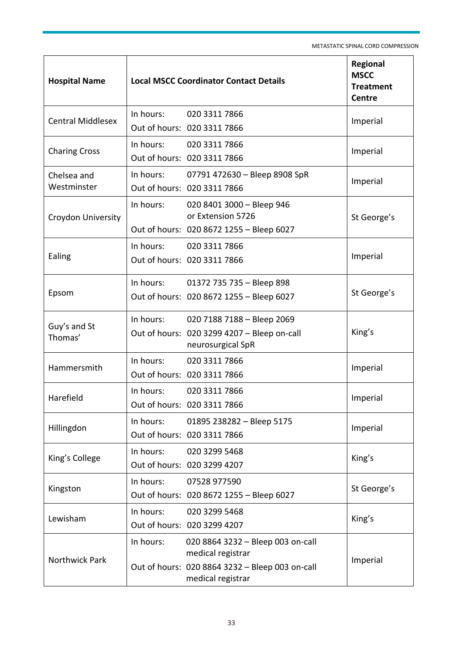METASTATIC SPINAL CORD COMPRESSION

| <b>Hospital Name</b>       | <b>Local MSCC Coordinator Contact Details</b> |                                                                                                                                | Regional<br><b>MSCC</b><br><b>Treatment</b><br><b>Centre</b> |
|----------------------------|-----------------------------------------------|--------------------------------------------------------------------------------------------------------------------------------|--------------------------------------------------------------|
| <b>Central Middlesex</b>   | In hours:                                     | 020 3311 7866<br>Out of hours: 020 3311 7866                                                                                   | Imperial                                                     |
| <b>Charing Cross</b>       | In hours:                                     | 020 3311 7866<br>Out of hours: 020 3311 7866                                                                                   | Imperial                                                     |
| Chelsea and<br>Westminster | In hours:                                     | 07791 472630 - Bleep 8908 SpR<br>Out of hours: 020 3311 7866                                                                   | Imperial                                                     |
| Croydon University         | In hours:                                     | 020 8401 3000 - Bleep 946<br>or Extension 5726<br>Out of hours: 020 8672 1255 - Bleep 6027                                     | St George's                                                  |
| Ealing                     | In hours:                                     | 020 3311 7866<br>Out of hours: 020 3311 7866                                                                                   | Imperial                                                     |
| Epsom                      | In hours:                                     | 01372 735 735 - Bleep 898<br>Out of hours: 020 8672 1255 - Bleep 6027                                                          | St George's                                                  |
| Guy's and St<br>Thomas'    | In hours:                                     | 020 7188 7188 - Bleep 2069<br>Out of hours: 020 3299 4207 - Bleep on-call<br>neurosurgical SpR                                 | King's                                                       |
| Hammersmith                | In hours:                                     | 020 3311 7866<br>Out of hours: 020 3311 7866                                                                                   | Imperial                                                     |
| Harefield                  | In hours:                                     | 020 3311 7866<br>Out of hours: 020 3311 7866                                                                                   | Imperial                                                     |
| Hillingdon                 | In hours:                                     | 01895 238282 - Bleep 5175<br>Out of hours: 020 3311 7866                                                                       | Imperial                                                     |
| King's College             | In hours:                                     | 020 3299 5468<br>Out of hours: 020 3299 4207                                                                                   | King's                                                       |
| Kingston                   | In hours:                                     | 07528 977590<br>Out of hours: 020 8672 1255 - Bleep 6027                                                                       | St George's                                                  |
| Lewisham                   | In hours:                                     | 020 3299 5468<br>Out of hours: 020 3299 4207                                                                                   | King's                                                       |
| Northwick Park             | In hours:                                     | 020 8864 3232 - Bleep 003 on-call<br>medical registrar<br>Out of hours: 020 8864 3232 - Bleep 003 on-call<br>medical registrar | Imperial                                                     |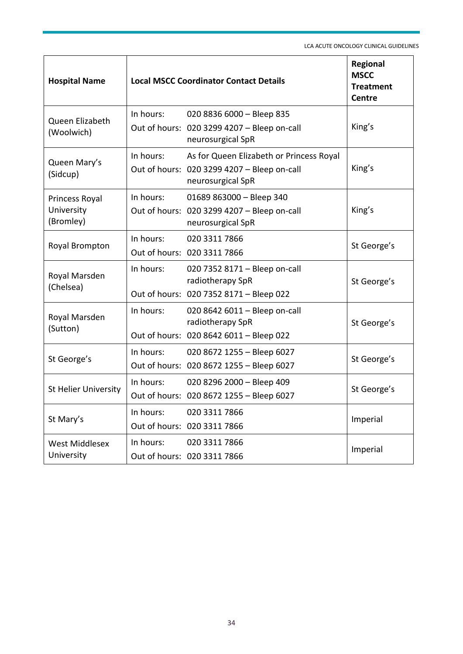LCA ACUTE ONCOLOGY CLINICAL GUIDELINES

| <b>Hospital Name</b>                      |           | <b>Local MSCC Coordinator Contact Details</b>                                                                | <b>Regional</b><br><b>MSCC</b><br><b>Treatment</b><br><b>Centre</b> |
|-------------------------------------------|-----------|--------------------------------------------------------------------------------------------------------------|---------------------------------------------------------------------|
| Queen Elizabeth<br>(Woolwich)             | In hours: | 020 8836 6000 - Bleep 835<br>Out of hours: 020 3299 4207 - Bleep on-call<br>neurosurgical SpR                | King's                                                              |
| Queen Mary's<br>(Sidcup)                  | In hours: | As for Queen Elizabeth or Princess Royal<br>Out of hours: 020 3299 4207 - Bleep on-call<br>neurosurgical SpR | King's                                                              |
| Princess Royal<br>University<br>(Bromley) | In hours: | 01689 863000 - Bleep 340<br>Out of hours: 020 3299 4207 - Bleep on-call<br>neurosurgical SpR                 | King's                                                              |
| Royal Brompton                            | In hours: | 020 3311 7866<br>Out of hours: 020 3311 7866                                                                 | St George's                                                         |
| Royal Marsden<br>(Chelsea)                | In hours: | 020 7352 8171 - Bleep on-call<br>radiotherapy SpR<br>Out of hours: 020 7352 8171 - Bleep 022                 | St George's                                                         |
| Royal Marsden<br>(Sutton)                 | In hours: | 020 8642 6011 - Bleep on-call<br>radiotherapy SpR<br>Out of hours: 020 8642 6011 - Bleep 022                 | St George's                                                         |
| St George's                               | In hours: | 020 8672 1255 - Bleep 6027<br>Out of hours: 020 8672 1255 - Bleep 6027                                       | St George's                                                         |
| <b>St Helier University</b>               | In hours: | 020 8296 2000 - Bleep 409<br>Out of hours: 020 8672 1255 - Bleep 6027                                        | St George's                                                         |
| St Mary's                                 | In hours: | 020 3311 7866<br>Out of hours: 020 3311 7866                                                                 | Imperial                                                            |
| <b>West Middlesex</b><br>University       | In hours: | 020 3311 7866<br>Out of hours: 020 3311 7866                                                                 | Imperial                                                            |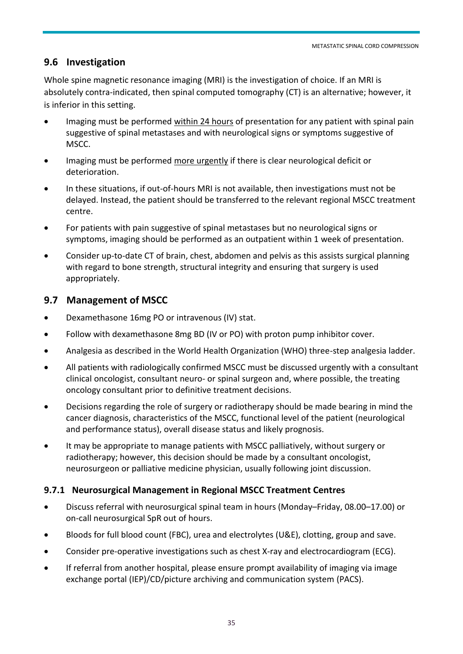## **9.6 Investigation**

Whole spine magnetic resonance imaging (MRI) is the investigation of choice. If an MRI is absolutely contra-indicated, then spinal computed tomography (CT) is an alternative; however, it is inferior in this setting.

- Imaging must be performed within 24 hours of presentation for any patient with spinal pain suggestive of spinal metastases and with neurological signs or symptoms suggestive of MSCC.
- **IMaging must be performed more urgently if there is clear neurological deficit or** deterioration.
- In these situations, if out-of-hours MRI is not available, then investigations must not be delayed. Instead, the patient should be transferred to the relevant regional MSCC treatment centre.
- For patients with pain suggestive of spinal metastases but no neurological signs or symptoms, imaging should be performed as an outpatient within 1 week of presentation.
- Consider up-to-date CT of brain, chest, abdomen and pelvis as this assists surgical planning with regard to bone strength, structural integrity and ensuring that surgery is used appropriately.

## **9.7 Management of MSCC**

- Dexamethasone 16mg PO or intravenous (IV) stat.
- Follow with dexamethasone 8mg BD (IV or PO) with proton pump inhibitor cover.
- Analgesia as described in the World Health Organization (WHO) three-step analgesia ladder.
- All patients with radiologically confirmed MSCC must be discussed urgently with a consultant clinical oncologist, consultant neuro- or spinal surgeon and, where possible, the treating oncology consultant prior to definitive treatment decisions.
- Decisions regarding the role of surgery or radiotherapy should be made bearing in mind the cancer diagnosis, characteristics of the MSCC, functional level of the patient (neurological and performance status), overall disease status and likely prognosis.
- It may be appropriate to manage patients with MSCC palliatively, without surgery or radiotherapy; however, this decision should be made by a consultant oncologist, neurosurgeon or palliative medicine physician, usually following joint discussion.

#### **9.7.1 Neurosurgical Management in Regional MSCC Treatment Centres**

- Discuss referral with neurosurgical spinal team in hours (Monday–Friday, 08.00–17.00) or on-call neurosurgical SpR out of hours.
- Bloods for full blood count (FBC), urea and electrolytes (U&E), clotting, group and save.
- Consider pre-operative investigations such as chest X-ray and electrocardiogram (ECG).
- If referral from another hospital, please ensure prompt availability of imaging via image exchange portal (IEP)/CD/picture archiving and communication system (PACS).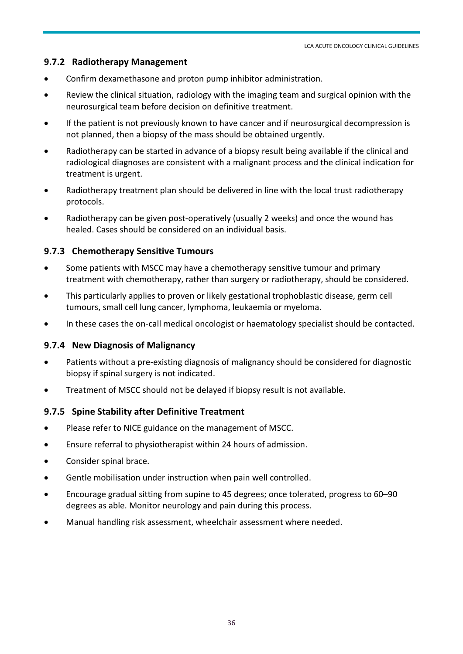#### **9.7.2 Radiotherapy Management**

- Confirm dexamethasone and proton pump inhibitor administration.
- Review the clinical situation, radiology with the imaging team and surgical opinion with the neurosurgical team before decision on definitive treatment.
- If the patient is not previously known to have cancer and if neurosurgical decompression is not planned, then a biopsy of the mass should be obtained urgently.
- Radiotherapy can be started in advance of a biopsy result being available if the clinical and radiological diagnoses are consistent with a malignant process and the clinical indication for treatment is urgent.
- Radiotherapy treatment plan should be delivered in line with the local trust radiotherapy protocols.
- Radiotherapy can be given post-operatively (usually 2 weeks) and once the wound has healed. Cases should be considered on an individual basis.

#### **9.7.3 Chemotherapy Sensitive Tumours**

- Some patients with MSCC may have a chemotherapy sensitive tumour and primary treatment with chemotherapy, rather than surgery or radiotherapy, should be considered.
- This particularly applies to proven or likely gestational trophoblastic disease, germ cell tumours, small cell lung cancer, lymphoma, leukaemia or myeloma.
- In these cases the on-call medical oncologist or haematology specialist should be contacted.

#### **9.7.4 New Diagnosis of Malignancy**

- Patients without a pre-existing diagnosis of malignancy should be considered for diagnostic biopsy if spinal surgery is not indicated.
- Treatment of MSCC should not be delayed if biopsy result is not available.

#### **9.7.5 Spine Stability after Definitive Treatment**

- Please refer to NICE guidance on the management of MSCC.
- Ensure referral to physiotherapist within 24 hours of admission.
- Consider spinal brace.
- Gentle mobilisation under instruction when pain well controlled.
- Encourage gradual sitting from supine to 45 degrees; once tolerated, progress to 60–90 degrees as able. Monitor neurology and pain during this process.
- Manual handling risk assessment, wheelchair assessment where needed.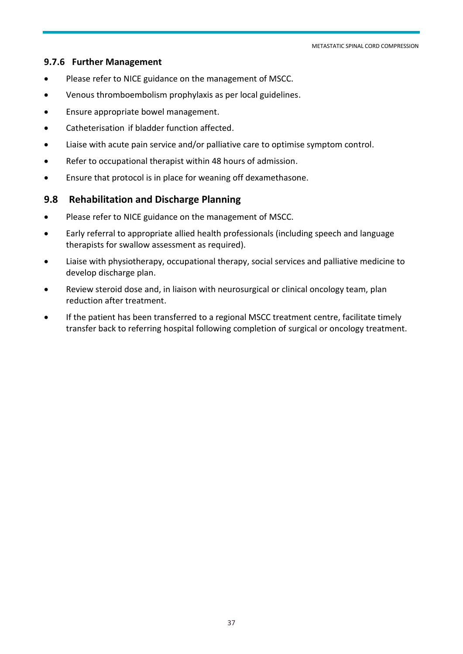#### **9.7.6 Further Management**

- Please refer to NICE guidance on the management of MSCC.
- Venous thromboembolism prophylaxis as per local guidelines.
- **•** Ensure appropriate bowel management.
- Catheterisation if bladder function affected.
- Liaise with acute pain service and/or palliative care to optimise symptom control.
- Refer to occupational therapist within 48 hours of admission.
- Ensure that protocol is in place for weaning off dexamethasone.

## **9.8 Rehabilitation and Discharge Planning**

- Please refer to NICE guidance on the management of MSCC.
- Early referral to appropriate allied health professionals (including speech and language therapists for swallow assessment as required).
- Liaise with physiotherapy, occupational therapy, social services and palliative medicine to develop discharge plan.
- Review steroid dose and, in liaison with neurosurgical or clinical oncology team, plan reduction after treatment.
- If the patient has been transferred to a regional MSCC treatment centre, facilitate timely transfer back to referring hospital following completion of surgical or oncology treatment.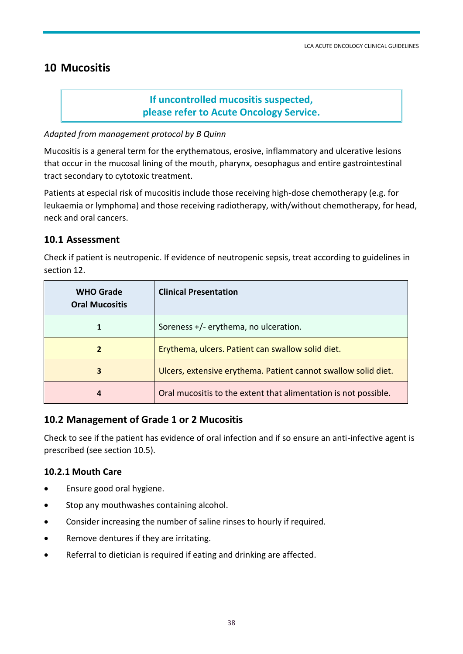# <span id="page-37-0"></span>**10 Mucositis**

## **If uncontrolled mucositis suspected, please refer to Acute Oncology Service.**

#### *Adapted from management protocol by B Quinn*

Mucositis is a general term for the erythematous, erosive, inflammatory and ulcerative lesions that occur in the mucosal lining of the mouth, pharynx, oesophagus and entire gastrointestinal tract secondary to cytotoxic treatment.

Patients at especial risk of mucositis include those receiving high-dose chemotherapy (e.g. for leukaemia or lymphoma) and those receiving radiotherapy, with/without chemotherapy, for head, neck and oral cancers.

#### **10.1 Assessment**

Check if patient is neutropenic. If evidence of neutropenic sepsis, treat according to guidelines in section 12.

| <b>WHO Grade</b><br><b>Oral Mucositis</b> | <b>Clinical Presentation</b>                                    |
|-------------------------------------------|-----------------------------------------------------------------|
|                                           | Soreness $+/-$ erythema, no ulceration.                         |
| $\overline{2}$                            | Erythema, ulcers. Patient can swallow solid diet.               |
| 3                                         | Ulcers, extensive erythema. Patient cannot swallow solid diet.  |
| 4                                         | Oral mucositis to the extent that alimentation is not possible. |

#### **10.2 Management of Grade 1 or 2 Mucositis**

Check to see if the patient has evidence of oral infection and if so ensure an anti-infective agent is prescribed (see section 10.5).

#### **10.2.1 Mouth Care**

- Ensure good oral hygiene.
- Stop any mouthwashes containing alcohol.
- Consider increasing the number of saline rinses to hourly if required.
- Remove dentures if they are irritating.
- Referral to dietician is required if eating and drinking are affected.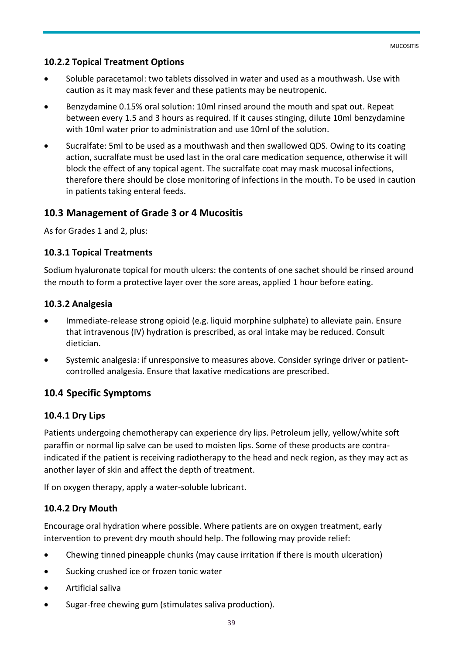#### **10.2.2 Topical Treatment Options**

- Soluble paracetamol: two tablets dissolved in water and used as a mouthwash. Use with caution as it may mask fever and these patients may be neutropenic.
- Benzydamine 0.15% oral solution: 10ml rinsed around the mouth and spat out. Repeat between every 1.5 and 3 hours as required. If it causes stinging, dilute 10ml benzydamine with 10ml water prior to administration and use 10ml of the solution.
- Sucralfate: 5ml to be used as a mouthwash and then swallowed QDS. Owing to its coating action, sucralfate must be used last in the oral care medication sequence, otherwise it will block the effect of any topical agent. The sucralfate coat may mask mucosal infections, therefore there should be close monitoring of infections in the mouth. To be used in caution in patients taking enteral feeds.

#### **10.3 Management of Grade 3 or 4 Mucositis**

As for Grades 1 and 2, plus:

#### **10.3.1 Topical Treatments**

Sodium hyaluronate topical for mouth ulcers: the contents of one sachet should be rinsed around the mouth to form a protective layer over the sore areas, applied 1 hour before eating.

#### **10.3.2 Analgesia**

- Immediate-release strong opioid (e.g. liquid morphine sulphate) to alleviate pain. Ensure that intravenous (IV) hydration is prescribed, as oral intake may be reduced. Consult dietician.
- Systemic analgesia: if unresponsive to measures above. Consider syringe driver or patientcontrolled analgesia. Ensure that laxative medications are prescribed.

#### **10.4 Specific Symptoms**

#### **10.4.1 Dry Lips**

Patients undergoing chemotherapy can experience dry lips. Petroleum jelly, yellow/white soft paraffin or normal lip salve can be used to moisten lips. Some of these products are contraindicated if the patient is receiving radiotherapy to the head and neck region, as they may act as another layer of skin and affect the depth of treatment.

If on oxygen therapy, apply a water-soluble lubricant.

#### **10.4.2 Dry Mouth**

Encourage oral hydration where possible. Where patients are on oxygen treatment, early intervention to prevent dry mouth should help. The following may provide relief:

- Chewing tinned pineapple chunks (may cause irritation if there is mouth ulceration)
- Sucking crushed ice or frozen tonic water
- Artificial saliva
- Sugar-free chewing gum (stimulates saliva production).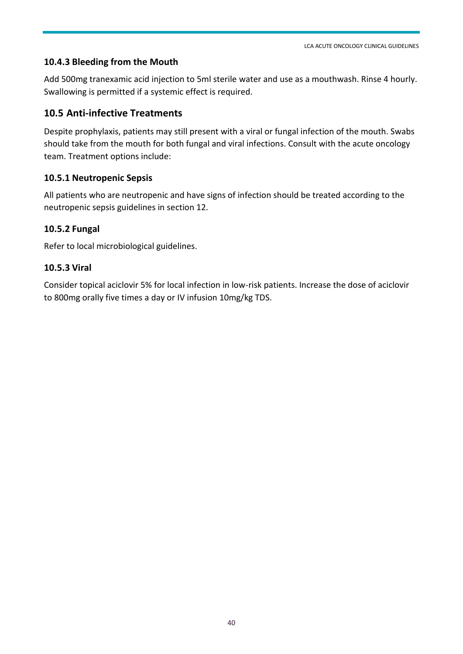## **10.4.3 Bleeding from the Mouth**

Add 500mg tranexamic acid injection to 5ml sterile water and use as a mouthwash. Rinse 4 hourly. Swallowing is permitted if a systemic effect is required.

## **10.5 Anti-infective Treatments**

Despite prophylaxis, patients may still present with a viral or fungal infection of the mouth. Swabs should take from the mouth for both fungal and viral infections. Consult with the acute oncology team. Treatment options include:

#### **10.5.1 Neutropenic Sepsis**

All patients who are neutropenic and have signs of infection should be treated according to the neutropenic sepsis guidelines in section 12.

#### **10.5.2 Fungal**

Refer to local microbiological guidelines.

#### **10.5.3 Viral**

Consider topical aciclovir 5% for local infection in low-risk patients. Increase the dose of aciclovir to 800mg orally five times a day or IV infusion 10mg/kg TDS.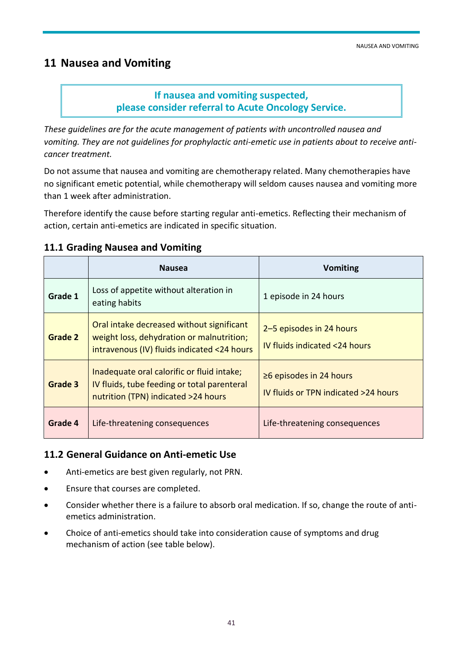## <span id="page-40-0"></span>**11 Nausea and Vomiting**

## **If nausea and vomiting suspected, please consider referral to Acute Oncology Service.**

*These guidelines are for the acute management of patients with uncontrolled nausea and vomiting. They are not guidelines for prophylactic anti-emetic use in patients about to receive anticancer treatment.*

Do not assume that nausea and vomiting are chemotherapy related. Many chemotherapies have no significant emetic potential, while chemotherapy will seldom causes nausea and vomiting more than 1 week after administration.

Therefore identify the cause before starting regular anti-emetics. Reflecting their mechanism of action, certain anti-emetics are indicated in specific situation.

|         | <b>Nausea</b>                                                                                                                         | <b>Vomiting</b>                                                       |
|---------|---------------------------------------------------------------------------------------------------------------------------------------|-----------------------------------------------------------------------|
| Grade 1 | Loss of appetite without alteration in<br>eating habits                                                                               | 1 episode in 24 hours                                                 |
| Grade 2 | Oral intake decreased without significant<br>weight loss, dehydration or malnutrition;<br>intravenous (IV) fluids indicated <24 hours | 2-5 episodes in 24 hours<br>IV fluids indicated <24 hours             |
| Grade 3 | Inadequate oral calorific or fluid intake;<br>IV fluids, tube feeding or total parenteral<br>nutrition (TPN) indicated >24 hours      | $\geq$ 6 episodes in 24 hours<br>IV fluids or TPN indicated >24 hours |
| Grade 4 | Life-threatening consequences                                                                                                         | Life-threatening consequences                                         |

#### **11.1 Grading Nausea and Vomiting**

#### **11.2 General Guidance on Anti-emetic Use**

- Anti-emetics are best given regularly, not PRN.
- Ensure that courses are completed.
- Consider whether there is a failure to absorb oral medication. If so, change the route of antiemetics administration.
- Choice of anti-emetics should take into consideration cause of symptoms and drug mechanism of action (see table below).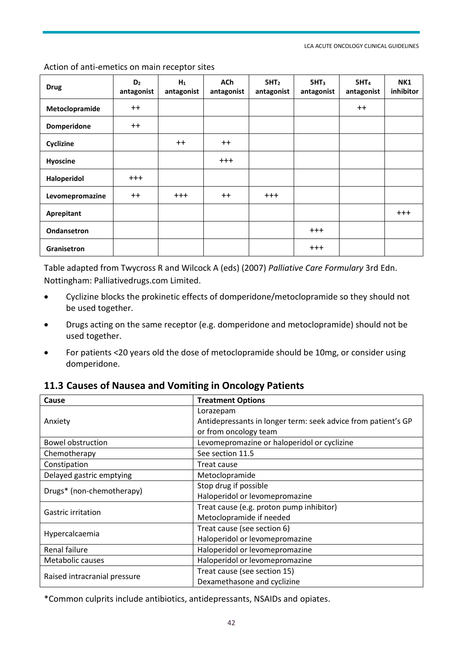| <b>Drug</b>     | D <sub>2</sub><br>antagonist | $H_1$<br>antagonist | <b>ACh</b><br>antagonist | 5HT <sub>2</sub><br>antagonist | 5HT <sub>3</sub><br>antagonist | 5HT <sub>4</sub><br>antagonist | NK1<br>inhibitor |
|-----------------|------------------------------|---------------------|--------------------------|--------------------------------|--------------------------------|--------------------------------|------------------|
| Metoclopramide  | $++$                         |                     |                          |                                |                                | $++$                           |                  |
| Domperidone     | $++$                         |                     |                          |                                |                                |                                |                  |
| Cyclizine       |                              | $++$                | $++$                     |                                |                                |                                |                  |
| Hyoscine        |                              |                     | $+ + +$                  |                                |                                |                                |                  |
| Haloperidol     | $+ + +$                      |                     |                          |                                |                                |                                |                  |
| Levomepromazine | $++$                         | $+ + +$             | $++$                     | $+ + +$                        |                                |                                |                  |
| Aprepitant      |                              |                     |                          |                                |                                |                                | $+ + +$          |
| Ondansetron     |                              |                     |                          |                                | $+ + +$                        |                                |                  |
| Granisetron     |                              |                     |                          |                                | $+ + +$                        |                                |                  |

Action of anti-emetics on main receptor sites

Table adapted from Twycross R and Wilcock A (eds) (2007) *Palliative Care Formulary* 3rd Edn. Nottingham: Palliativedrugs.com Limited.

- Cyclizine blocks the prokinetic effects of domperidone/metoclopramide so they should not be used together.
- Drugs acting on the same receptor (e.g. domperidone and metoclopramide) should not be used together.
- For patients <20 years old the dose of metoclopramide should be 10mg, or consider using domperidone.

#### **11.3 Causes of Nausea and Vomiting in Oncology Patients**

| Cause                        | <b>Treatment Options</b>                                      |  |
|------------------------------|---------------------------------------------------------------|--|
|                              | Lorazepam                                                     |  |
| Anxiety                      | Antidepressants in longer term: seek advice from patient's GP |  |
|                              | or from oncology team                                         |  |
| <b>Bowel obstruction</b>     | Levomepromazine or haloperidol or cyclizine                   |  |
| Chemotherapy                 | See section 11.5                                              |  |
| Constipation                 | Treat cause                                                   |  |
| Delayed gastric emptying     | Metoclopramide                                                |  |
|                              | Stop drug if possible                                         |  |
| Drugs* (non-chemotherapy)    | Haloperidol or levomepromazine                                |  |
| <b>Gastric irritation</b>    | Treat cause (e.g. proton pump inhibitor)                      |  |
|                              | Metoclopramide if needed                                      |  |
|                              | Treat cause (see section 6)                                   |  |
| Hypercalcaemia               | Haloperidol or levomepromazine                                |  |
| Renal failure                | Haloperidol or levomepromazine                                |  |
| Metabolic causes             | Haloperidol or levomepromazine                                |  |
|                              | Treat cause (see section 15)                                  |  |
| Raised intracranial pressure | Dexamethasone and cyclizine                                   |  |

\*Common culprits include antibiotics, antidepressants, NSAIDs and opiates.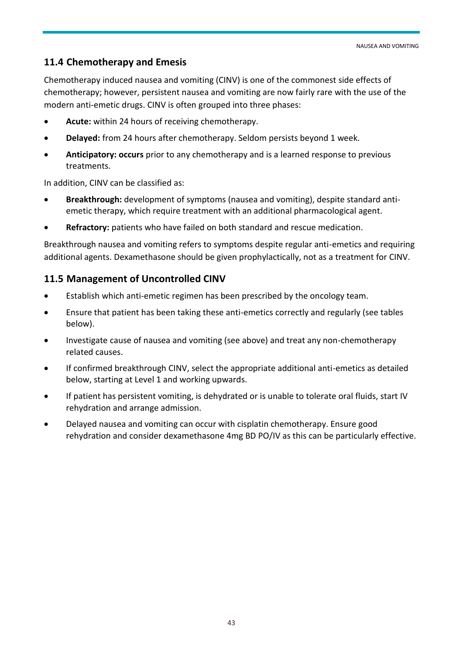## **11.4 Chemotherapy and Emesis**

Chemotherapy induced nausea and vomiting (CINV) is one of the commonest side effects of chemotherapy; however, persistent nausea and vomiting are now fairly rare with the use of the modern anti-emetic drugs. CINV is often grouped into three phases:

- **Acute:** within 24 hours of receiving chemotherapy.
- **Delayed:** from 24 hours after chemotherapy. Seldom persists beyond 1 week.
- **Anticipatory: occurs** prior to any chemotherapy and is a learned response to previous treatments.

In addition, CINV can be classified as:

- **Breakthrough:** development of symptoms (nausea and vomiting), despite standard antiemetic therapy, which require treatment with an additional pharmacological agent.
- **Refractory:** patients who have failed on both standard and rescue medication.

Breakthrough nausea and vomiting refers to symptoms despite regular anti-emetics and requiring additional agents. Dexamethasone should be given prophylactically, not as a treatment for CINV.

#### **11.5 Management of Uncontrolled CINV**

- Establish which anti-emetic regimen has been prescribed by the oncology team.
- Ensure that patient has been taking these anti-emetics correctly and regularly (see tables below).
- Investigate cause of nausea and vomiting (see above) and treat any non-chemotherapy related causes.
- If confirmed breakthrough CINV, select the appropriate additional anti-emetics as detailed below, starting at Level 1 and working upwards.
- If patient has persistent vomiting, is dehydrated or is unable to tolerate oral fluids, start IV rehydration and arrange admission.
- Delayed nausea and vomiting can occur with cisplatin chemotherapy. Ensure good rehydration and consider dexamethasone 4mg BD PO/IV as this can be particularly effective.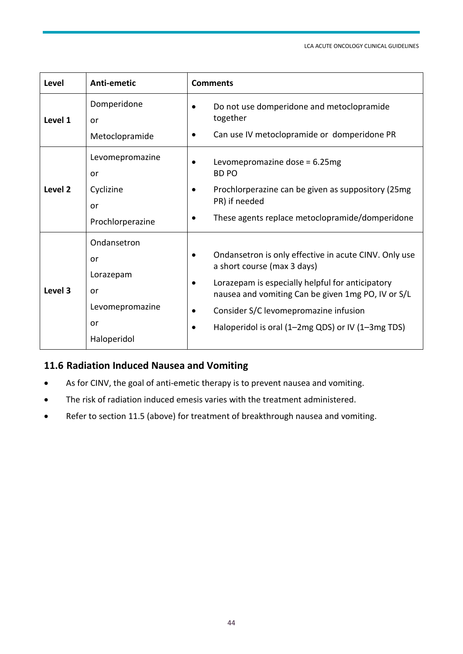| Level   | Anti-emetic                                                                  | <b>Comments</b>                                                                                                                                                                                                                                                                                           |  |  |
|---------|------------------------------------------------------------------------------|-----------------------------------------------------------------------------------------------------------------------------------------------------------------------------------------------------------------------------------------------------------------------------------------------------------|--|--|
| Level 1 | Domperidone<br>or<br>Metoclopramide                                          | Do not use domperidone and metoclopramide<br>together<br>Can use IV metoclopramide or domperidone PR                                                                                                                                                                                                      |  |  |
| Level 2 | Levomepromazine<br>or<br>Cyclizine<br>or<br>Prochlorperazine                 | Levomepromazine dose = $6.25mg$<br><b>BDPO</b><br>Prochlorperazine can be given as suppository (25mg)<br>PR) if needed<br>These agents replace metoclopramide/domperidone                                                                                                                                 |  |  |
| Level 3 | Ondansetron<br>or<br>Lorazepam<br>or<br>Levomepromazine<br>or<br>Haloperidol | Ondansetron is only effective in acute CINV. Only use<br>a short course (max 3 days)<br>Lorazepam is especially helpful for anticipatory<br>nausea and vomiting Can be given 1mg PO, IV or S/L<br>Consider S/C levomepromazine infusion<br>$\bullet$<br>Haloperidol is oral (1-2mg QDS) or IV (1-3mg TDS) |  |  |

## **11.6 Radiation Induced Nausea and Vomiting**

- As for CINV, the goal of anti-emetic therapy is to prevent nausea and vomiting.
- The risk of radiation induced emesis varies with the treatment administered.
- Refer to section 11.5 (above) for treatment of breakthrough nausea and vomiting.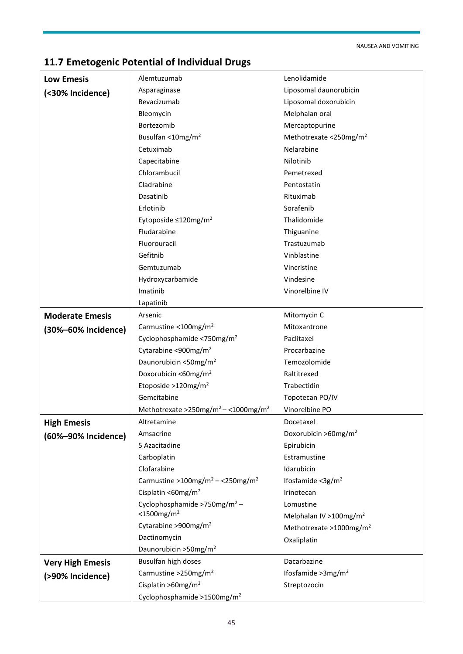NAUSEA AND VOMITING

# **11.7 Emetogenic Potential of Individual Drugs**

| <b>Low Emesis</b>       | Alemtuzumab                                                 | Lenolidamide                        |
|-------------------------|-------------------------------------------------------------|-------------------------------------|
| (<30% Incidence)        | Asparaginase                                                | Liposomal daunorubicin              |
|                         | Bevacizumab                                                 | Liposomal doxorubicin               |
|                         | Bleomycin                                                   | Melphalan oral                      |
|                         | Bortezomib                                                  | Mercaptopurine                      |
|                         | Busulfan <10mg/m <sup>2</sup>                               | Methotrexate <250mg/m <sup>2</sup>  |
|                         | Cetuximab                                                   | Nelarabine                          |
|                         | Capecitabine                                                | Nilotinib                           |
|                         | Chlorambucil                                                | Pemetrexed                          |
|                         | Cladrabine                                                  | Pentostatin                         |
|                         | Dasatinib                                                   | Rituximab                           |
|                         | Erlotinib                                                   | Sorafenib                           |
|                         | Eytoposide $\leq$ 120mg/m <sup>2</sup>                      | Thalidomide                         |
|                         | Fludarabine                                                 | Thiguanine                          |
|                         | Fluorouracil                                                | Trastuzumab                         |
|                         | Gefitnib                                                    | Vinblastine                         |
|                         | Gemtuzumab                                                  | Vincristine                         |
|                         | Hydroxycarbamide                                            | Vindesine                           |
|                         | Imatinib                                                    | Vinorelbine IV                      |
|                         | Lapatinib                                                   |                                     |
| <b>Moderate Emesis</b>  | Arsenic                                                     | Mitomycin C                         |
| (30%-60% Incidence)     | Carmustine <100mg/m <sup>2</sup>                            | Mitoxantrone                        |
|                         | Cyclophosphamide <750mg/m <sup>2</sup>                      | Paclitaxel                          |
|                         | Cytarabine <900mg/m <sup>2</sup>                            | Procarbazine                        |
|                         | Daunorubicin <50mg/m <sup>2</sup>                           | Temozolomide                        |
|                         | Doxorubicin <60mg/m <sup>2</sup>                            | Raltitrexed                         |
|                         | Etoposide >120mg/m <sup>2</sup>                             | Trabectidin                         |
|                         | Gemcitabine                                                 | Topotecan PO/IV                     |
|                         | Methotrexate >250mg/m <sup>2</sup> - <1000mg/m <sup>2</sup> | Vinorelbine PO                      |
| <b>High Emesis</b>      | Altretamine                                                 | Docetaxel                           |
| (60%-90% Incidence)     | Amsacrine                                                   | Doxorubicin > 60mg/m <sup>2</sup>   |
|                         | 5 Azacitadine                                               | Epirubicin                          |
|                         | Carboplatin                                                 | Estramustine                        |
|                         | Clofarabine                                                 | Idarubicin                          |
|                         | Carmustine >100mg/m <sup>2</sup> - <250mg/m <sup>2</sup>    | Ifosfamide < $3g/m^2$               |
|                         | Cisplatin <60mg/m <sup>2</sup>                              | Irinotecan                          |
|                         | Cyclophosphamide >750mg/m <sup>2</sup> -                    | Lomustine                           |
|                         | $<$ 1500mg/m <sup>2</sup>                                   | Melphalan IV >100mg/m <sup>2</sup>  |
|                         | Cytarabine >900mg/m <sup>2</sup>                            | Methotrexate >1000mg/m <sup>2</sup> |
|                         | Dactinomycin                                                | Oxaliplatin                         |
|                         | Daunorubicin >50mg/m <sup>2</sup>                           |                                     |
| <b>Very High Emesis</b> | Busulfan high doses                                         | Dacarbazine                         |
| (>90% Incidence)        | Carmustine > $250$ mg/m <sup>2</sup>                        | Ifosfamide > 3mg/m <sup>2</sup>     |
|                         | Cisplatin >60mg/m <sup>2</sup>                              | Streptozocin                        |
|                         | Cyclophosphamide >1500mg/m <sup>2</sup>                     |                                     |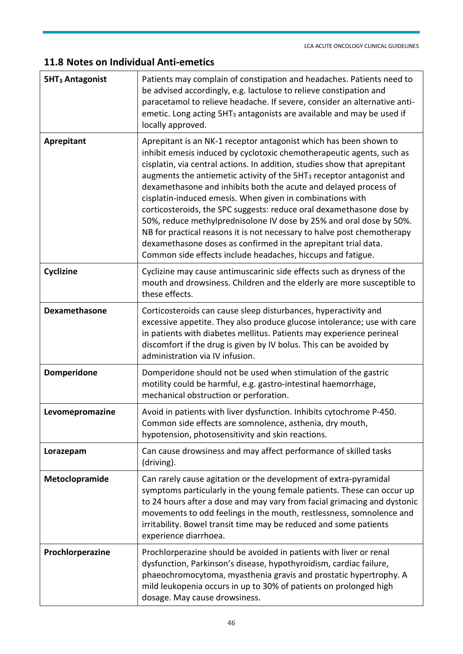## **11.8 Notes on Individual Anti-emetics**

| 5HT <sub>3</sub> Antagonist | Patients may complain of constipation and headaches. Patients need to<br>be advised accordingly, e.g. lactulose to relieve constipation and<br>paracetamol to relieve headache. If severe, consider an alternative anti-<br>emetic. Long acting 5HT <sub>3</sub> antagonists are available and may be used if<br>locally approved.                                                                                                                                                                                                                                                                                                                                                                                                                                                                      |
|-----------------------------|---------------------------------------------------------------------------------------------------------------------------------------------------------------------------------------------------------------------------------------------------------------------------------------------------------------------------------------------------------------------------------------------------------------------------------------------------------------------------------------------------------------------------------------------------------------------------------------------------------------------------------------------------------------------------------------------------------------------------------------------------------------------------------------------------------|
| Aprepitant                  | Aprepitant is an NK-1 receptor antagonist which has been shown to<br>inhibit emesis induced by cyclotoxic chemotherapeutic agents, such as<br>cisplatin, via central actions. In addition, studies show that aprepitant<br>augments the antiemetic activity of the 5HT <sub>3</sub> receptor antagonist and<br>dexamethasone and inhibits both the acute and delayed process of<br>cisplatin-induced emesis. When given in combinations with<br>corticosteroids, the SPC suggests: reduce oral dexamethasone dose by<br>50%, reduce methylprednisolone IV dose by 25% and oral dose by 50%.<br>NB for practical reasons it is not necessary to halve post chemotherapy<br>dexamethasone doses as confirmed in the aprepitant trial data.<br>Common side effects include headaches, hiccups and fatigue. |
| Cyclizine                   | Cyclizine may cause antimuscarinic side effects such as dryness of the<br>mouth and drowsiness. Children and the elderly are more susceptible to<br>these effects.                                                                                                                                                                                                                                                                                                                                                                                                                                                                                                                                                                                                                                      |
| Dexamethasone               | Corticosteroids can cause sleep disturbances, hyperactivity and<br>excessive appetite. They also produce glucose intolerance; use with care<br>in patients with diabetes mellitus. Patients may experience perineal<br>discomfort if the drug is given by IV bolus. This can be avoided by<br>administration via IV infusion.                                                                                                                                                                                                                                                                                                                                                                                                                                                                           |
| <b>Domperidone</b>          | Domperidone should not be used when stimulation of the gastric<br>motility could be harmful, e.g. gastro-intestinal haemorrhage,<br>mechanical obstruction or perforation.                                                                                                                                                                                                                                                                                                                                                                                                                                                                                                                                                                                                                              |
| Levomepromazine             | Avoid in patients with liver dysfunction. Inhibits cytochrome P-450.<br>Common side effects are somnolence, asthenia, dry mouth,<br>hypotension, photosensitivity and skin reactions.                                                                                                                                                                                                                                                                                                                                                                                                                                                                                                                                                                                                                   |
| Lorazepam                   | Can cause drowsiness and may affect performance of skilled tasks<br>(driving).                                                                                                                                                                                                                                                                                                                                                                                                                                                                                                                                                                                                                                                                                                                          |
| Metoclopramide              | Can rarely cause agitation or the development of extra-pyramidal<br>symptoms particularly in the young female patients. These can occur up<br>to 24 hours after a dose and may vary from facial grimacing and dystonic<br>movements to odd feelings in the mouth, restlessness, somnolence and<br>irritability. Bowel transit time may be reduced and some patients<br>experience diarrhoea.                                                                                                                                                                                                                                                                                                                                                                                                            |
| Prochlorperazine            | Prochlorperazine should be avoided in patients with liver or renal<br>dysfunction, Parkinson's disease, hypothyroidism, cardiac failure,<br>phaeochromocytoma, myasthenia gravis and prostatic hypertrophy. A<br>mild leukopenia occurs in up to 30% of patients on prolonged high<br>dosage. May cause drowsiness.                                                                                                                                                                                                                                                                                                                                                                                                                                                                                     |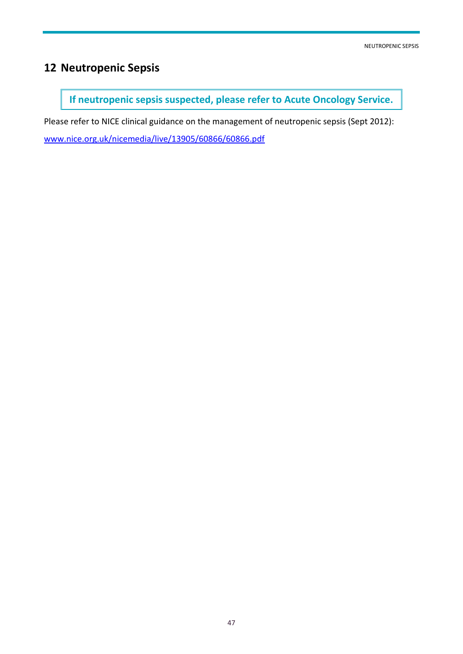# <span id="page-46-0"></span>**12 Neutropenic Sepsis**

**If neutropenic sepsis suspected, please refer to Acute Oncology Service.**

Please refer to NICE clinical guidance on the management of neutropenic sepsis (Sept 2012): [www.nice.org.uk/nicemedia/live/13905/60866/60866.pdf](http://www.nice.org.uk/nicemedia/live/13905/60866/60866.pdf)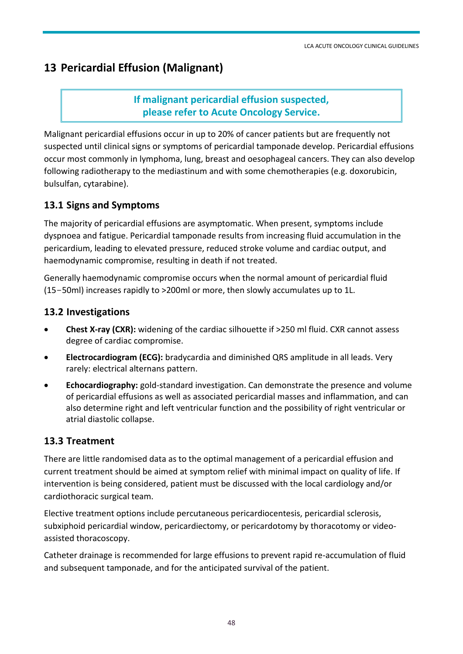# <span id="page-47-0"></span>**13 Pericardial Effusion (Malignant)**

## **If malignant pericardial effusion suspected, please refer to Acute Oncology Service.**

Malignant pericardial effusions occur in up to 20% of cancer patients but are frequently not suspected until clinical signs or symptoms of pericardial tamponade develop. Pericardial effusions occur most commonly in lymphoma, lung, breast and oesophageal cancers. They can also develop following radiotherapy to the mediastinum and with some chemotherapies (e.g. doxorubicin, bulsulfan, cytarabine).

## **13.1 Signs and Symptoms**

The majority of pericardial effusions are asymptomatic. When present, symptoms include dyspnoea and fatigue. Pericardial tamponade results from increasing fluid accumulation in the pericardium, leading to elevated pressure, reduced stroke volume and cardiac output, and haemodynamic compromise, resulting in death if not treated.

Generally haemodynamic compromise occurs when the normal amount of pericardial fluid (15-50ml) increases rapidly to >200ml or more, then slowly accumulates up to 1L.

## **13.2 Investigations**

- **Chest X-ray (CXR):** widening of the cardiac silhouette if >250 ml fluid. CXR cannot assess degree of cardiac compromise.
- **Electrocardiogram (ECG):** bradycardia and diminished QRS amplitude in all leads. Very rarely: electrical alternans pattern.
- **Echocardiography:** gold-standard investigation. Can demonstrate the presence and volume of pericardial effusions as well as associated pericardial masses and inflammation, and can also determine right and left ventricular function and the possibility of right ventricular or atrial diastolic collapse.

## **13.3 Treatment**

There are little randomised data as to the optimal management of a pericardial effusion and current treatment should be aimed at symptom relief with minimal impact on quality of life. If intervention is being considered, patient must be discussed with the local cardiology and/or cardiothoracic surgical team.

Elective treatment options include percutaneous pericardiocentesis, pericardial sclerosis, subxiphoid pericardial window, pericardiectomy, or pericardotomy by thoracotomy or videoassisted thoracoscopy.

Catheter drainage is recommended for large effusions to prevent rapid re-accumulation of fluid and subsequent tamponade, and for the anticipated survival of the patient.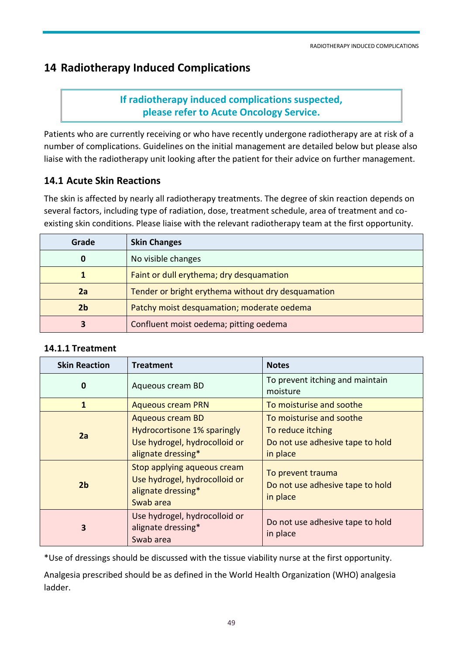# <span id="page-48-0"></span>**14 Radiotherapy Induced Complications**

## **If radiotherapy induced complications suspected, please refer to Acute Oncology Service.**

Patients who are currently receiving or who have recently undergone radiotherapy are at risk of a number of complications. Guidelines on the initial management are detailed below but please also liaise with the radiotherapy unit looking after the patient for their advice on further management.

## **14.1 Acute Skin Reactions**

The skin is affected by nearly all radiotherapy treatments. The degree of skin reaction depends on several factors, including type of radiation, dose, treatment schedule, area of treatment and coexisting skin conditions. Please liaise with the relevant radiotherapy team at the first opportunity.

| Grade          | <b>Skin Changes</b>                                |  |
|----------------|----------------------------------------------------|--|
| 0              | No visible changes                                 |  |
|                | Faint or dull erythema; dry desquamation           |  |
| 2a             | Tender or bright erythema without dry desquamation |  |
| 2 <sub>b</sub> | Patchy moist desquamation; moderate oedema         |  |
|                | Confluent moist oedema; pitting oedema             |  |

#### **14.1.1 Treatment**

| <b>Skin Reaction</b> | <b>Treatment</b>                                                                                                     | <b>Notes</b>                                                                                  |
|----------------------|----------------------------------------------------------------------------------------------------------------------|-----------------------------------------------------------------------------------------------|
| 0                    | Aqueous cream BD                                                                                                     | To prevent itching and maintain<br>moisture                                                   |
| $\mathbf{1}$         | <b>Aqueous cream PRN</b>                                                                                             | To moisturise and soothe                                                                      |
| 2a                   | <b>Aqueous cream BD</b><br><b>Hydrocortisone 1% sparingly</b><br>Use hydrogel, hydrocolloid or<br>alignate dressing* | To moisturise and soothe<br>To reduce itching<br>Do not use adhesive tape to hold<br>in place |
| 2 <sub>b</sub>       | Stop applying aqueous cream<br>Use hydrogel, hydrocolloid or<br>alignate dressing*<br>Swab area                      | To prevent trauma<br>Do not use adhesive tape to hold<br>in place                             |
| 3                    | Use hydrogel, hydrocolloid or<br>alignate dressing*<br>Swab area                                                     | Do not use adhesive tape to hold<br>in place                                                  |

\*Use of dressings should be discussed with the tissue viability nurse at the first opportunity.

Analgesia prescribed should be as defined in the World Health Organization (WHO) analgesia ladder.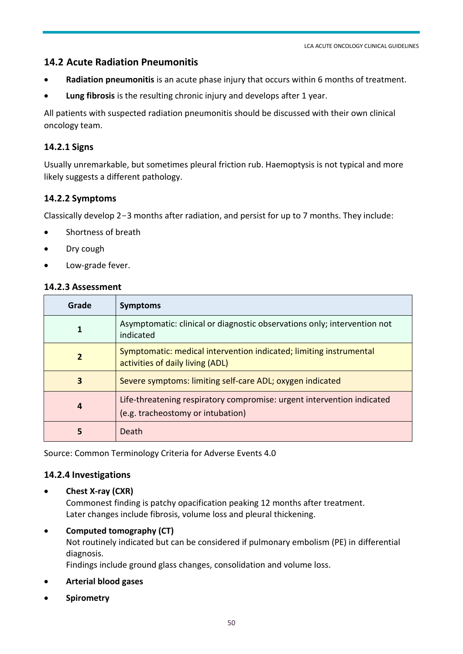#### **14.2 Acute Radiation Pneumonitis**

- **Radiation pneumonitis** is an acute phase injury that occurs within 6 months of treatment.
- **Lung fibrosis** is the resulting chronic injury and develops after 1 year.

All patients with suspected radiation pneumonitis should be discussed with their own clinical oncology team.

#### **14.2.1 Signs**

Usually unremarkable, but sometimes pleural friction rub. Haemoptysis is not typical and more likely suggests a different pathology.

#### **14.2.2 Symptoms**

Classically develop 2-3 months after radiation, and persist for up to 7 months. They include:

- Shortness of breath
- Dry cough
- Low-grade fever.

#### **14.2.3 Assessment**

| Grade | <b>Symptoms</b>                                                                                             |
|-------|-------------------------------------------------------------------------------------------------------------|
|       | Asymptomatic: clinical or diagnostic observations only; intervention not<br>indicated                       |
| 2     | Symptomatic: medical intervention indicated; limiting instrumental<br>activities of daily living (ADL)      |
| 3     | Severe symptoms: limiting self-care ADL; oxygen indicated                                                   |
| 4     | Life-threatening respiratory compromise: urgent intervention indicated<br>(e.g. tracheostomy or intubation) |
| 5     | Death                                                                                                       |

Source: Common Terminology Criteria for Adverse Events 4.0

#### **14.2.4 Investigations**

**Chest X-ray (CXR)**

Commonest finding is patchy opacification peaking 12 months after treatment. Later changes include fibrosis, volume loss and pleural thickening.

#### **•** Computed tomography (CT)

Not routinely indicated but can be considered if pulmonary embolism (PE) in differential diagnosis.

Findings include ground glass changes, consolidation and volume loss.

- **Arterial blood gases**
- **Spirometry**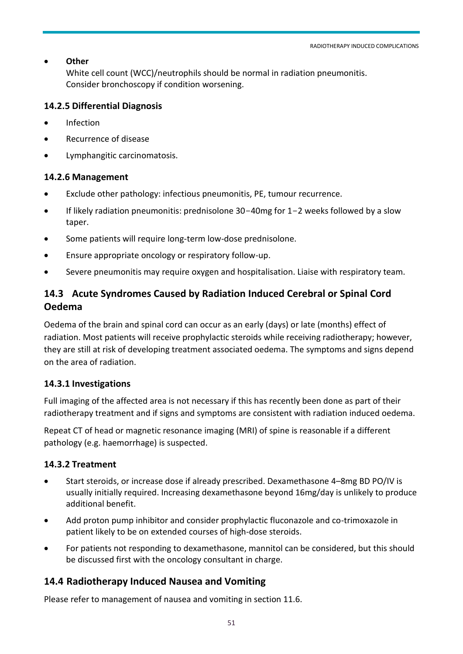#### **Other**

White cell count (WCC)/neutrophils should be normal in radiation pneumonitis. Consider bronchoscopy if condition worsening.

#### **14.2.5 Differential Diagnosis**

- Infection
- Recurrence of disease
- Lymphangitic carcinomatosis.

#### **14.2.6 Management**

- Exclude other pathology: infectious pneumonitis, PE, tumour recurrence.
- If likely radiation pneumonitis: prednisolone 30-40mg for 1-2 weeks followed by a slow taper.
- Some patients will require long-term low-dose prednisolone.
- Ensure appropriate oncology or respiratory follow-up.
- Severe pneumonitis may require oxygen and hospitalisation. Liaise with respiratory team.

## **14.3 Acute Syndromes Caused by Radiation Induced Cerebral or Spinal Cord Oedema**

Oedema of the brain and spinal cord can occur as an early (days) or late (months) effect of radiation. Most patients will receive prophylactic steroids while receiving radiotherapy; however, they are still at risk of developing treatment associated oedema. The symptoms and signs depend on the area of radiation.

#### **14.3.1 Investigations**

Full imaging of the affected area is not necessary if this has recently been done as part of their radiotherapy treatment and if signs and symptoms are consistent with radiation induced oedema.

Repeat CT of head or magnetic resonance imaging (MRI) of spine is reasonable if a different pathology (e.g. haemorrhage) is suspected.

#### **14.3.2 Treatment**

- Start steroids, or increase dose if already prescribed. Dexamethasone 4–8mg BD PO/IV is usually initially required. Increasing dexamethasone beyond 16mg/day is unlikely to produce additional benefit.
- Add proton pump inhibitor and consider prophylactic fluconazole and co-trimoxazole in patient likely to be on extended courses of high-dose steroids.
- For patients not responding to dexamethasone, mannitol can be considered, but this should be discussed first with the oncology consultant in charge.

#### **14.4 Radiotherapy Induced Nausea and Vomiting**

Please refer to management of nausea and vomiting in section 11.6.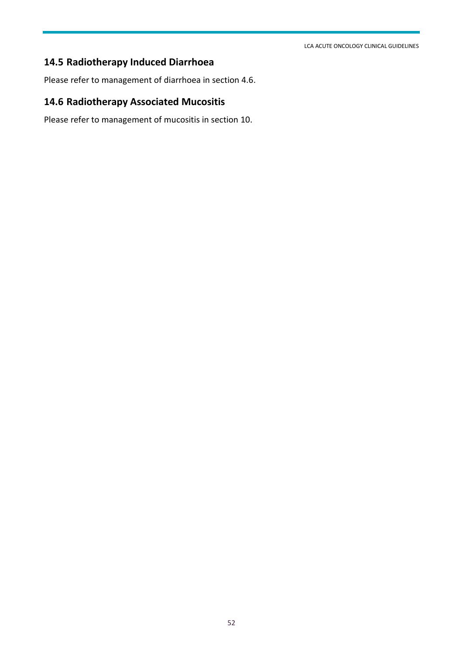LCA ACUTE ONCOLOGY CLINICAL GUIDELINES

## **14.5 Radiotherapy Induced Diarrhoea**

Please refer to management of diarrhoea in section 4.6.

## **14.6 Radiotherapy Associated Mucositis**

Please refer to management of mucositis in section 10.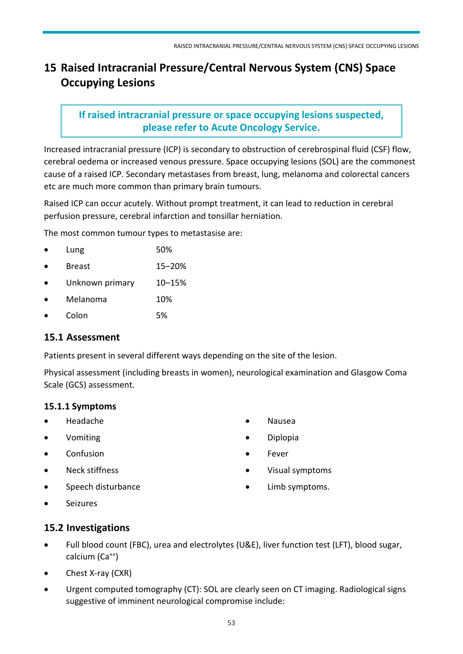# <span id="page-52-0"></span>**15 Raised Intracranial Pressure/Central Nervous System (CNS) Space Occupying Lesions**

## **If raised intracranial pressure or space occupying lesions suspected, please refer to Acute Oncology Service.**

Increased intracranial pressure (ICP) is secondary to obstruction of cerebrospinal fluid (CSF) flow, cerebral oedema or increased venous pressure. Space occupying lesions (SOL) are the commonest cause of a raised ICP. Secondary metastases from breast, lung, melanoma and colorectal cancers etc are much more common than primary brain tumours.

Raised ICP can occur acutely. Without prompt treatment, it can lead to reduction in cerebral perfusion pressure, cerebral infarction and tonsillar herniation.

The most common tumour types to metastasise are:

- Lung 50%
- Breast 15–20%
- Unknown primary 10–15%
- Melanoma 10%
- Colon 5%

#### **15.1 Assessment**

Patients present in several different ways depending on the site of the lesion.

Physical assessment (including breasts in women), neurological examination and Glasgow Coma Scale (GCS) assessment.

#### **15.1.1 Symptoms**

- Headache
- Vomiting
- Confusion
- Neck stiffness
- Speech disturbance
- Nausea
- Diplopia
- Fever
- Visual symptoms
- Limb symptoms.

Seizures

#### **15.2 Investigations**

- Full blood count (FBC), urea and electrolytes (U&E), liver function test (LFT), blood sugar, calcium (Ca++)
- Chest X-ray (CXR)
- Urgent computed tomography (CT): SOL are clearly seen on CT imaging. Radiological signs suggestive of imminent neurological compromise include: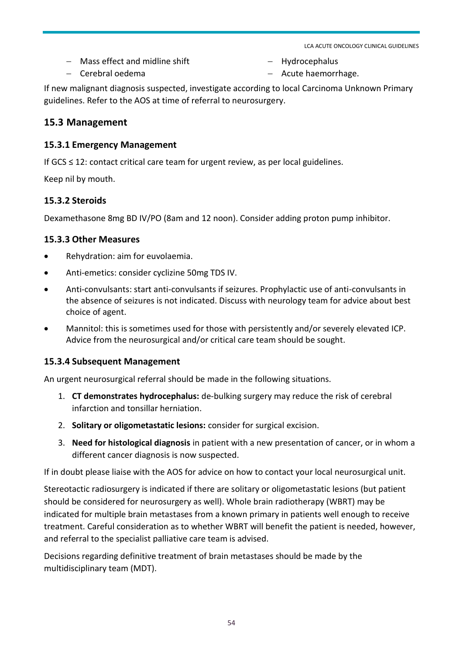Mass effect and midline shift

- Hydrocephalus

- Cerebral oedema

- Acute haemorrhage.

If new malignant diagnosis suspected, investigate according to local Carcinoma Unknown Primary guidelines. Refer to the AOS at time of referral to neurosurgery.

## **15.3 Management**

#### **15.3.1 Emergency Management**

If  $GCS \leq 12$ : contact critical care team for urgent review, as per local guidelines.

Keep nil by mouth.

#### **15.3.2 Steroids**

Dexamethasone 8mg BD IV/PO (8am and 12 noon). Consider adding proton pump inhibitor.

#### **15.3.3 Other Measures**

- Rehydration: aim for euvolaemia.
- Anti-emetics: consider cyclizine 50mg TDS IV.
- Anti-convulsants: start anti-convulsants if seizures. Prophylactic use of anti-convulsants in the absence of seizures is not indicated. Discuss with neurology team for advice about best choice of agent.
- Mannitol: this is sometimes used for those with persistently and/or severely elevated ICP. Advice from the neurosurgical and/or critical care team should be sought.

#### **15.3.4 Subsequent Management**

An urgent neurosurgical referral should be made in the following situations.

- 1. **CT demonstrates hydrocephalus:** de-bulking surgery may reduce the risk of cerebral infarction and tonsillar herniation.
- 2. **Solitary or oligometastatic lesions:** consider for surgical excision.
- 3. **Need for histological diagnosis** in patient with a new presentation of cancer, or in whom a different cancer diagnosis is now suspected.

If in doubt please liaise with the AOS for advice on how to contact your local neurosurgical unit.

Stereotactic radiosurgery is indicated if there are solitary or oligometastatic lesions (but patient should be considered for neurosurgery as well). Whole brain radiotherapy (WBRT) may be indicated for multiple brain metastases from a known primary in patients well enough to receive treatment. Careful consideration as to whether WBRT will benefit the patient is needed, however, and referral to the specialist palliative care team is advised.

Decisions regarding definitive treatment of brain metastases should be made by the multidisciplinary team (MDT).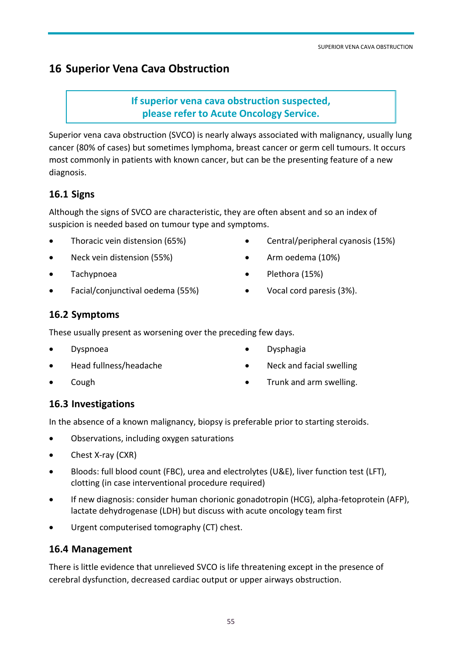## SUPERIOR VENA CAVA OBSTRUCTION

# <span id="page-54-0"></span>**16 Superior Vena Cava Obstruction**

## **If superior vena cava obstruction suspected, please refer to Acute Oncology Service.**

Superior vena cava obstruction (SVCO) is nearly always associated with malignancy, usually lung cancer (80% of cases) but sometimes lymphoma, breast cancer or germ cell tumours. It occurs most commonly in patients with known cancer, but can be the presenting feature of a new diagnosis.

## **16.1 Signs**

Although the signs of SVCO are characteristic, they are often absent and so an index of suspicion is needed based on tumour type and symptoms.

- Thoracic vein distension (65%)
- Neck vein distension (55%)
- Tachypnoea
- Facial/conjunctival oedema (55%)
- Central/peripheral cyanosis (15%)
- Arm oedema (10%)
- Plethora (15%)

Dysphagia

Vocal cord paresis (3%).

# **16.2 Symptoms**

These usually present as worsening over the preceding few days.

- Dyspnoea
- Head fullness/headache
- Cough

• Neck and facial swelling Trunk and arm swelling.

# **16.3 Investigations**

In the absence of a known malignancy, biopsy is preferable prior to starting steroids.

- Observations, including oxygen saturations
- Chest X-ray (CXR)
- Bloods: full blood count (FBC), urea and electrolytes (U&E), liver function test (LFT), clotting (in case interventional procedure required)
- If new diagnosis: consider human chorionic gonadotropin (HCG), alpha-fetoprotein (AFP), lactate dehydrogenase (LDH) but discuss with acute oncology team first
- Urgent computerised tomography (CT) chest.

# **16.4 Management**

There is little evidence that unrelieved SVCO is life threatening except in the presence of cerebral dysfunction, decreased cardiac output or upper airways obstruction.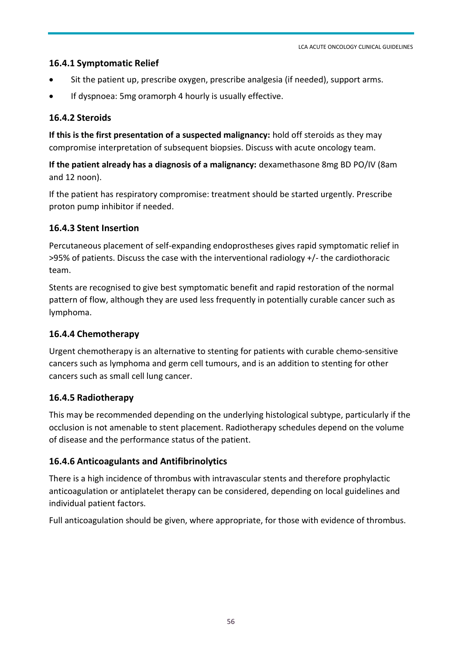LCA ACUTE ONCOLOGY CLINICAL GUIDELINES

#### **16.4.1 Symptomatic Relief**

- Sit the patient up, prescribe oxygen, prescribe analgesia (if needed), support arms.
- If dyspnoea: 5mg oramorph 4 hourly is usually effective.

## **16.4.2 Steroids**

**If this is the first presentation of a suspected malignancy:** hold off steroids as they may compromise interpretation of subsequent biopsies. Discuss with acute oncology team.

**If the patient already has a diagnosis of a malignancy:** dexamethasone 8mg BD PO/IV (8am and 12 noon).

If the patient has respiratory compromise: treatment should be started urgently. Prescribe proton pump inhibitor if needed.

## **16.4.3 Stent Insertion**

Percutaneous placement of self-expanding endoprostheses gives rapid symptomatic relief in >95% of patients. Discuss the case with the interventional radiology +/- the cardiothoracic team.

Stents are recognised to give best symptomatic benefit and rapid restoration of the normal pattern of flow, although they are used less frequently in potentially curable cancer such as lymphoma.

## **16.4.4 Chemotherapy**

Urgent chemotherapy is an alternative to stenting for patients with curable chemo-sensitive cancers such as lymphoma and germ cell tumours, and is an addition to stenting for other cancers such as small cell lung cancer.

## **16.4.5 Radiotherapy**

This may be recommended depending on the underlying histological subtype, particularly if the occlusion is not amenable to stent placement. Radiotherapy schedules depend on the volume of disease and the performance status of the patient.

## **16.4.6 Anticoagulants and Antifibrinolytics**

There is a high incidence of thrombus with intravascular stents and therefore prophylactic anticoagulation or antiplatelet therapy can be considered, depending on local guidelines and individual patient factors.

Full anticoagulation should be given, where appropriate, for those with evidence of thrombus.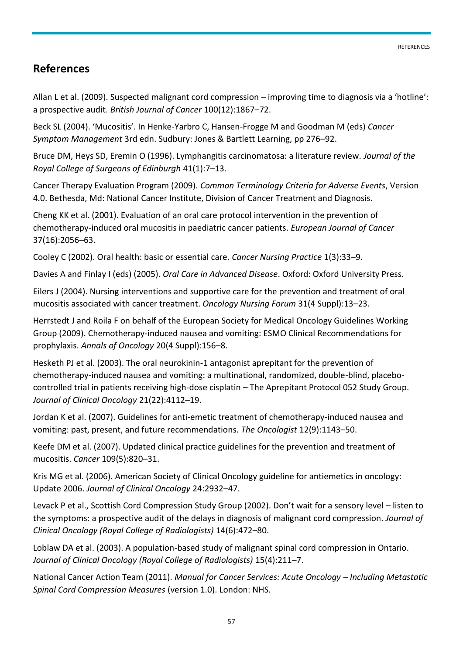# <span id="page-56-0"></span>**References**

Allan L et al. (2009). Suspected malignant cord compression – improving time to diagnosis via a 'hotline': a prospective audit. *British Journal of Cancer* 100(12):1867–72.

Beck SL (2004). 'Mucositis'. In Henke-Yarbro C, Hansen-Frogge M and Goodman M (eds) *Cancer Symptom Management* 3rd edn. Sudbury: Jones & Bartlett Learning, pp 276–92.

Bruce DM, Heys SD, Eremin O (1996). Lymphangitis carcinomatosa: a literature review. *Journal of the Royal College of Surgeons of Edinburgh* 41(1):7–13.

Cancer Therapy Evaluation Program (2009). *Common Terminology Criteria for Adverse Events*, Version 4.0. Bethesda, Md: National Cancer Institute, Division of Cancer Treatment and Diagnosis.

Cheng KK et al. (2001). Evaluation of an oral care protocol intervention in the prevention of chemotherapy-induced oral mucositis in paediatric cancer patients. *European Journal of Cancer* 37(16):2056–63.

Cooley C (2002). Oral health: basic or essential care. *Cancer Nursing Practice* 1(3):33–9.

Davies A and Finlay I (eds) (2005). *Oral Care in Advanced Disease*. Oxford: Oxford University Press.

Eilers J (2004). Nursing interventions and supportive care for the prevention and treatment of oral mucositis associated with cancer treatment. *Oncology Nursing Forum* 31(4 Suppl):13–23.

Herrstedt J and Roila F on behalf of the European Society for Medical Oncology Guidelines Working Group (2009). Chemotherapy-induced nausea and vomiting: ESMO Clinical Recommendations for prophylaxis. *Annals of Oncology* 20(4 Suppl):156–8.

Hesketh PJ et al. (2003). The oral neurokinin-1 antagonist aprepitant for the prevention of chemotherapy-induced nausea and vomiting: a multinational, randomized, double-blind, placebocontrolled trial in patients receiving high-dose cisplatin – The Aprepitant Protocol 052 Study Group. *Journal of Clinical Oncology* 21(22):4112–19.

Jordan K et al. (2007). Guidelines for anti-emetic treatment of chemotherapy-induced nausea and vomiting: past, present, and future recommendations. *The Oncologist* 12(9):1143–50.

Keefe DM et al. (2007). Updated clinical practice guidelines for the prevention and treatment of mucositis. *Cancer* 109(5):820–31.

Kris MG et al. (2006). American Society of Clinical Oncology guideline for antiemetics in oncology: Update 2006. *Journal of Clinical Oncology* 24:2932–47.

Levack P et al., Scottish Cord Compression Study Group (2002). Don't wait for a sensory level – listen to the symptoms: a prospective audit of the delays in diagnosis of malignant cord compression. *Journal of Clinical Oncology (Royal College of Radiologists)* 14(6):472–80.

Loblaw DA et al. (2003). A population-based study of malignant spinal cord compression in Ontario. *Journal of Clinical Oncology (Royal College of Radiologists)* 15(4):211–7.

National Cancer Action Team (2011). *Manual for Cancer Services: Acute Oncology – Including Metastatic Spinal Cord Compression Measures* (version 1.0). London: NHS.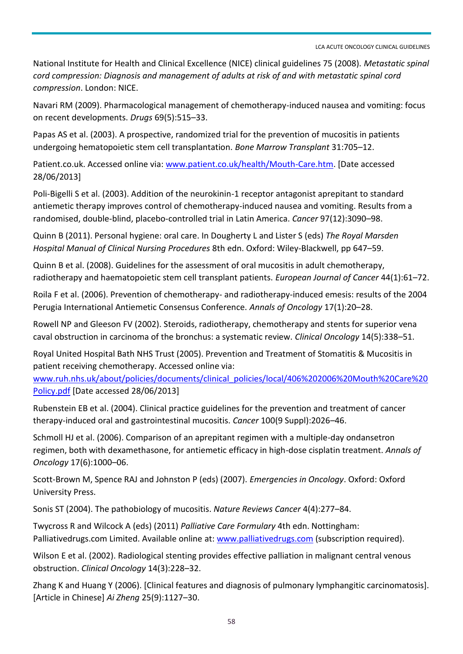LCA ACUTE ONCOLOGY CLINICAL GUIDELINES

National Institute for Health and Clinical Excellence (NICE) clinical guidelines 75 (2008). *Metastatic spinal cord compression: Diagnosis and management of adults at risk of and with metastatic spinal cord compression*. London: NICE.

Navari RM (2009). Pharmacological management of chemotherapy-induced nausea and vomiting: focus on recent developments. *Drugs* 69(5):515–33.

Papas AS et al. (2003). A prospective, randomized trial for the prevention of mucositis in patients undergoing hematopoietic stem cell transplantation. *Bone Marrow Transplant* 31:705–12.

Patient.co.uk. Accessed online via: [www.patient.co.uk/health/Mouth-Care.htm.](http://www.patient.co.uk/health/Mouth-Care.htm) [Date accessed 28/06/2013]

Poli-Bigelli S et al. (2003). Addition of the neurokinin-1 receptor antagonist aprepitant to standard antiemetic therapy improves control of chemotherapy-induced nausea and vomiting. Results from a randomised, double-blind, placebo-controlled trial in Latin America. *Cancer* 97(12):3090–98.

Quinn B (2011). Personal hygiene: oral care. In Dougherty L and Lister S (eds) *The Royal Marsden Hospital Manual of Clinical Nursing Procedures* 8th edn. Oxford: Wiley-Blackwell, pp 647–59.

Quinn B et al. (2008). Guidelines for the assessment of oral mucositis in adult chemotherapy, radiotherapy and haematopoietic stem cell transplant patients. *European Journal of Cancer* 44(1):61–72.

Roila F et al. (2006). Prevention of chemotherapy- and radiotherapy-induced emesis: results of the 2004 Perugia International Antiemetic Consensus Conference. *Annals of Oncology* 17(1):20–28.

Rowell NP and Gleeson FV (2002). Steroids, radiotherapy, chemotherapy and stents for superior vena caval obstruction in carcinoma of the bronchus: a systematic review. *Clinical Oncology* 14(5):338–51.

Royal United Hospital Bath NHS Trust (2005). Prevention and Treatment of Stomatitis & Mucositis in patient receiving chemotherapy. Accessed online via:

[www.ruh.nhs.uk/about/policies/documents/clinical\\_policies/local/406%202006%20Mouth%20Care%20](http://www.ruh.nhs.uk/about/policies/documents/clinical_policies/local/406%202006%20Mouth%20Care%20Policy.pdf) [Policy.pdf](http://www.ruh.nhs.uk/about/policies/documents/clinical_policies/local/406%202006%20Mouth%20Care%20Policy.pdf) [Date accessed 28/06/2013]

Rubenstein EB et al. (2004). Clinical practice guidelines for the prevention and treatment of cancer therapy-induced oral and gastrointestinal mucositis. *Cancer* 100(9 Suppl):2026–46.

Schmoll HJ et al. (2006). Comparison of an aprepitant regimen with a multiple-day ondansetron regimen, both with dexamethasone, for antiemetic efficacy in high-dose cisplatin treatment. *Annals of Oncology* 17(6):1000–06.

Scott-Brown M, Spence RAJ and Johnston P (eds) (2007). *Emergencies in Oncology*. Oxford: Oxford University Press.

Sonis ST (2004). The pathobiology of mucositis. *Nature Reviews Cancer* 4(4):277–84.

Twycross R and Wilcock A (eds) (2011) *Palliative Care Formulary* 4th edn. Nottingham: Palliativedrugs.com Limited. Available online at[: www.palliativedrugs.com](http://www.palliativedrugs.com/) (subscription required).

Wilson E et al. (2002). Radiological stenting provides effective palliation in malignant central venous obstruction. *Clinical Oncology* 14(3):228–32.

Zhang K and Huang Y (2006). [Clinical features and diagnosis of pulmonary lymphangitic carcinomatosis]. [Article in Chinese] *Ai Zheng* 25(9):1127–30.